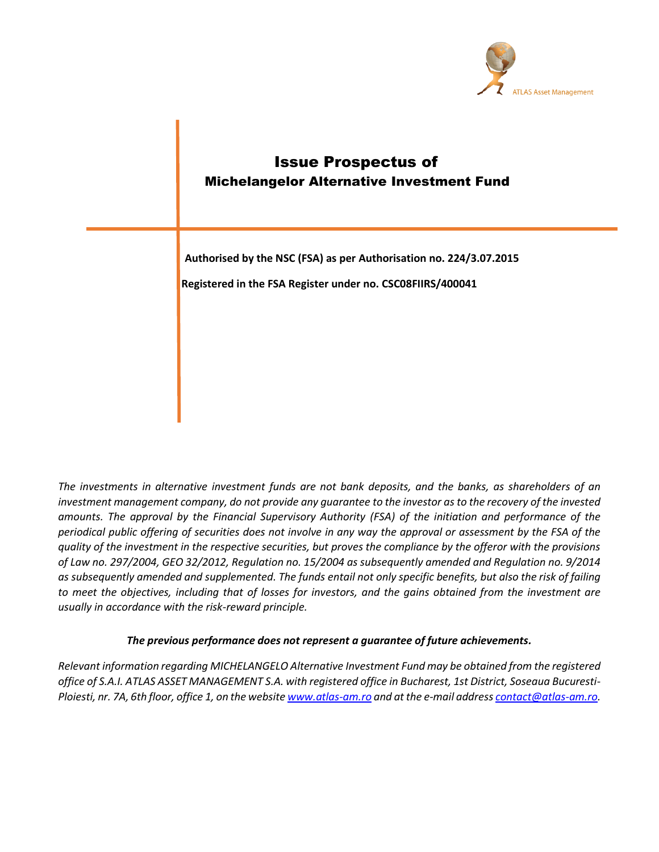

**Authorised by the NSC (FSA) as per Authorisation no. 224/3.07.2015**

**Registered in the FSA Register under no. CSC08FIIRS/400041**

*The investments in alternative investment funds are not bank deposits, and the banks, as shareholders of an investment management company, do not provide any guarantee to the investor as to the recovery of the invested amounts. The approval by the Financial Supervisory Authority (FSA) of the initiation and performance of the periodical public offering of securities does not involve in any way the approval or assessment by the FSA of the quality of the investment in the respective securities, but proves the compliance by the offeror with the provisions of Law no. 297/2004, GEO 32/2012, Regulation no. 15/2004 as subsequently amended and Regulation no. 9/2014 as subsequently amended and supplemented. The funds entail not only specific benefits, but also the risk of failing to meet the objectives, including that of losses for investors, and the gains obtained from the investment are usually in accordance with the risk-reward principle.* 

# *The previous performance does not represent a guarantee of future achievements.*

*Relevant information regarding MICHELANGELO Alternative Investment Fund may be obtained from the registered office of S.A.I. ATLAS ASSET MANAGEMENT S.A. with registered office in Bucharest, 1st District, Soseaua Bucuresti-Ploiesti, nr. 7A, 6th floor, office 1, on the websit[e www.atlas-am.ro](http://www.atlas-am.ro/) and at the e-mail addres[s contact@atlas-am.ro.](mailto:contact@atlas-am.ro)*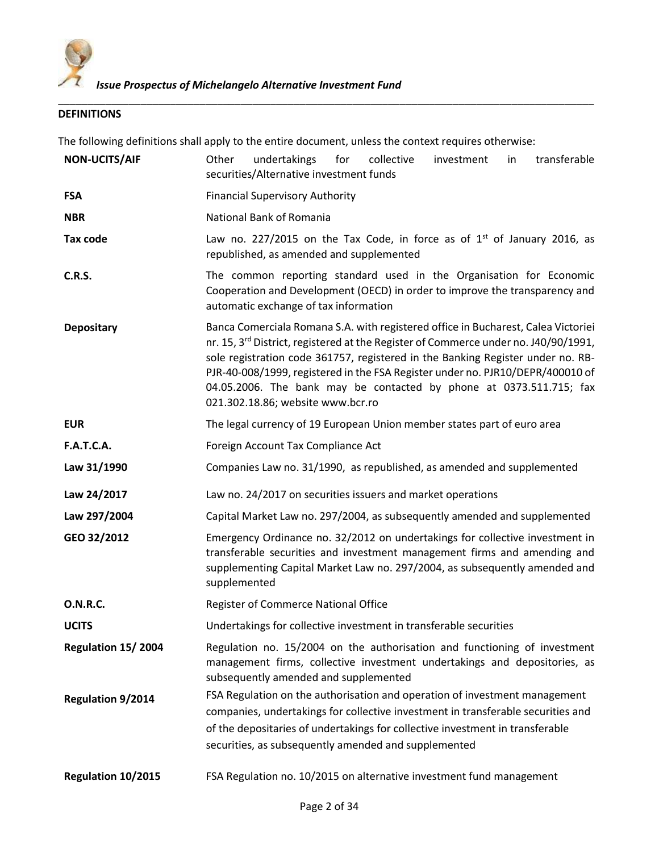

# **DEFINITIONS**

The following definitions shall apply to the entire document, unless the context requires otherwise:

\_\_\_\_\_\_\_\_\_\_\_\_\_\_\_\_\_\_\_\_\_\_\_\_\_\_\_\_\_\_\_\_\_\_\_\_\_\_\_\_\_\_\_\_\_\_\_\_\_\_\_\_\_\_\_\_\_\_\_\_\_\_\_\_\_\_\_\_\_\_\_\_\_\_\_\_\_\_\_\_\_\_\_\_\_\_\_\_\_\_\_

| <b>NON-UCITS/AIF</b>     | undertakings<br>transferable<br>Other<br>for<br>collective<br>investment<br>in<br>securities/Alternative investment funds                                                                                                                                                                                                                                                                                                                                             |
|--------------------------|-----------------------------------------------------------------------------------------------------------------------------------------------------------------------------------------------------------------------------------------------------------------------------------------------------------------------------------------------------------------------------------------------------------------------------------------------------------------------|
| <b>FSA</b>               | <b>Financial Supervisory Authority</b>                                                                                                                                                                                                                                                                                                                                                                                                                                |
| <b>NBR</b>               | National Bank of Romania                                                                                                                                                                                                                                                                                                                                                                                                                                              |
| Tax code                 | Law no. 227/2015 on the Tax Code, in force as of $1st$ of January 2016, as<br>republished, as amended and supplemented                                                                                                                                                                                                                                                                                                                                                |
| <b>C.R.S.</b>            | The common reporting standard used in the Organisation for Economic<br>Cooperation and Development (OECD) in order to improve the transparency and<br>automatic exchange of tax information                                                                                                                                                                                                                                                                           |
| <b>Depositary</b>        | Banca Comerciala Romana S.A. with registered office in Bucharest, Calea Victoriei<br>nr. 15, 3 <sup>rd</sup> District, registered at the Register of Commerce under no. J40/90/1991,<br>sole registration code 361757, registered in the Banking Register under no. RB-<br>PJR-40-008/1999, registered in the FSA Register under no. PJR10/DEPR/400010 of<br>04.05.2006. The bank may be contacted by phone at 0373.511.715; fax<br>021.302.18.86; website www.bcr.ro |
| <b>EUR</b>               | The legal currency of 19 European Union member states part of euro area                                                                                                                                                                                                                                                                                                                                                                                               |
| <b>F.A.T.C.A.</b>        | Foreign Account Tax Compliance Act                                                                                                                                                                                                                                                                                                                                                                                                                                    |
| Law 31/1990              | Companies Law no. 31/1990, as republished, as amended and supplemented                                                                                                                                                                                                                                                                                                                                                                                                |
| Law 24/2017              | Law no. 24/2017 on securities issuers and market operations                                                                                                                                                                                                                                                                                                                                                                                                           |
| Law 297/2004             | Capital Market Law no. 297/2004, as subsequently amended and supplemented                                                                                                                                                                                                                                                                                                                                                                                             |
| GEO 32/2012              | Emergency Ordinance no. 32/2012 on undertakings for collective investment in<br>transferable securities and investment management firms and amending and<br>supplementing Capital Market Law no. 297/2004, as subsequently amended and<br>supplemented                                                                                                                                                                                                                |
| <b>O.N.R.C.</b>          | Register of Commerce National Office                                                                                                                                                                                                                                                                                                                                                                                                                                  |
| <b>UCITS</b>             | Undertakings for collective investment in transferable securities                                                                                                                                                                                                                                                                                                                                                                                                     |
| Regulation 15/2004       | Regulation no. 15/2004 on the authorisation and functioning of investment<br>management firms, collective investment undertakings and depositories, as<br>subsequently amended and supplemented                                                                                                                                                                                                                                                                       |
| <b>Regulation 9/2014</b> | FSA Regulation on the authorisation and operation of investment management<br>companies, undertakings for collective investment in transferable securities and<br>of the depositaries of undertakings for collective investment in transferable<br>securities, as subsequently amended and supplemented                                                                                                                                                               |
| Regulation 10/2015       | FSA Regulation no. 10/2015 on alternative investment fund management                                                                                                                                                                                                                                                                                                                                                                                                  |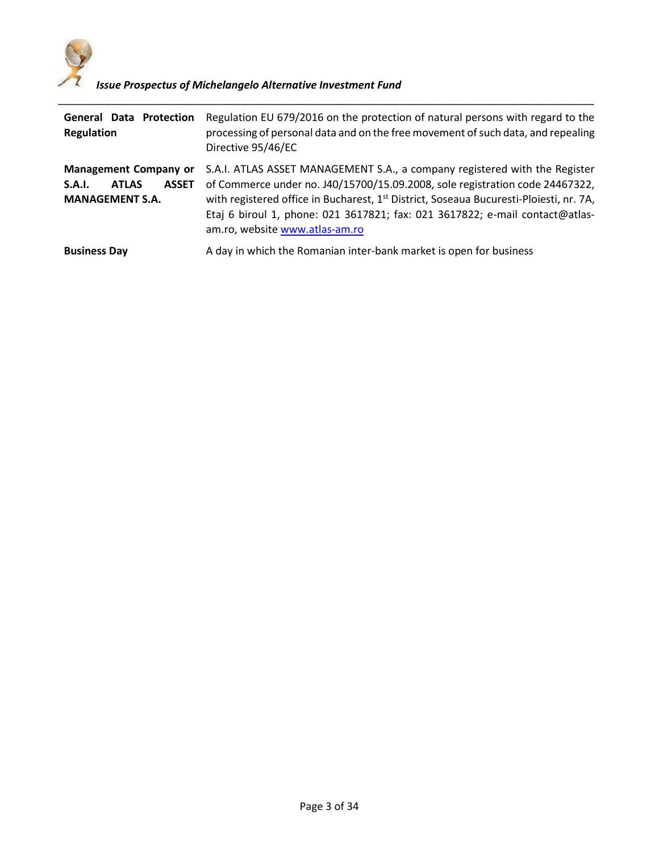

| <b>General Data Protection</b><br><b>Regulation</b>                                              | Regulation EU 679/2016 on the protection of natural persons with regard to the<br>processing of personal data and on the free movement of such data, and repealing<br>Directive 95/46/EC                                                                                                                                                                                           |
|--------------------------------------------------------------------------------------------------|------------------------------------------------------------------------------------------------------------------------------------------------------------------------------------------------------------------------------------------------------------------------------------------------------------------------------------------------------------------------------------|
| <b>Management Company or</b><br>S.A.I.<br><b>ASSET</b><br><b>ATLAS</b><br><b>MANAGEMENT S.A.</b> | S.A.I. ATLAS ASSET MANAGEMENT S.A., a company registered with the Register<br>of Commerce under no. J40/15700/15.09.2008, sole registration code 24467322,<br>with registered office in Bucharest, 1 <sup>st</sup> District, Soseaua Bucuresti-Ploiesti, nr. 7A,<br>Etaj 6 biroul 1, phone: 021 3617821; fax: 021 3617822; e-mail contact@atlas-<br>am.ro, website www.atlas-am.ro |
| <b>Business Day</b>                                                                              | A day in which the Romanian inter-bank market is open for business                                                                                                                                                                                                                                                                                                                 |

\_\_\_\_\_\_\_\_\_\_\_\_\_\_\_\_\_\_\_\_\_\_\_\_\_\_\_\_\_\_\_\_\_\_\_\_\_\_\_\_\_\_\_\_\_\_\_\_\_\_\_\_\_\_\_\_\_\_\_\_\_\_\_\_\_\_\_\_\_\_\_\_\_\_\_\_\_\_\_\_\_\_\_\_\_\_\_\_\_\_\_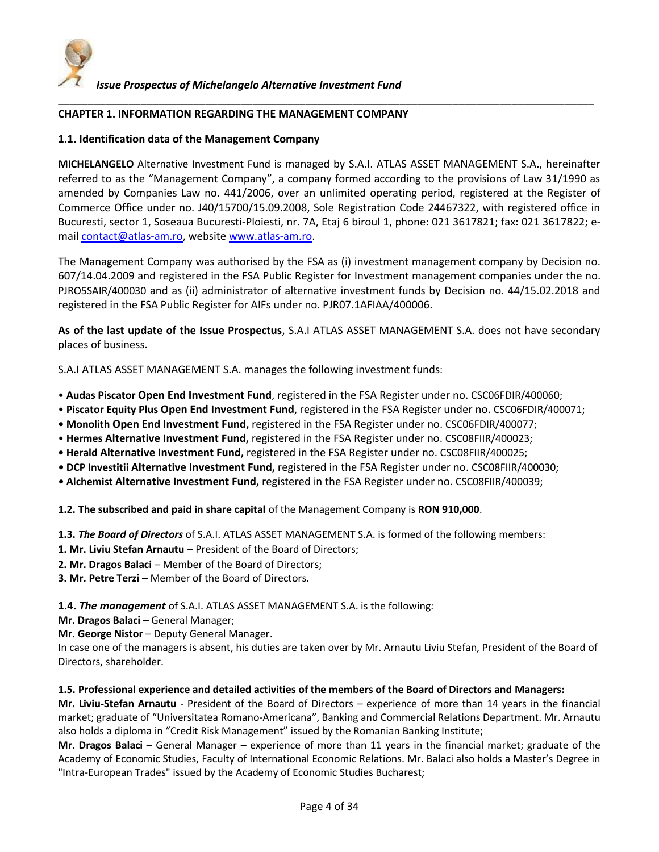

#### **CHAPTER 1. INFORMATION REGARDING THE MANAGEMENT COMPANY**

## **1.1. Identification data of the Management Company**

**MICHELANGELO** Alternative Investment Fund is managed by S.A.I. ATLAS ASSET MANAGEMENT S.A., hereinafter referred to as the "Management Company", a company formed according to the provisions of Law 31/1990 as amended by Companies Law no. 441/2006, over an unlimited operating period, registered at the Register of Commerce Office under no. J40/15700/15.09.2008, Sole Registration Code 24467322, with registered office in Bucuresti, sector 1, Soseaua Bucuresti-Ploiesti, nr. 7A, Etaj 6 biroul 1, phone: 021 3617821; fax: 021 3617822; emai[l contact@atlas-am.ro,](mailto:contact@piscator.ro) websit[e www.atlas-am.ro.](http://www.piscator.ro/)

\_\_\_\_\_\_\_\_\_\_\_\_\_\_\_\_\_\_\_\_\_\_\_\_\_\_\_\_\_\_\_\_\_\_\_\_\_\_\_\_\_\_\_\_\_\_\_\_\_\_\_\_\_\_\_\_\_\_\_\_\_\_\_\_\_\_\_\_\_\_\_\_\_\_\_\_\_\_\_\_\_\_\_\_\_\_\_\_\_\_\_

The Management Company was authorised by the FSA as (i) investment management company by Decision no. 607/14.04.2009 and registered in the FSA Public Register for Investment management companies under the no. PJRO5SAIR/400030 and as (ii) administrator of alternative investment funds by Decision no. 44/15.02.2018 and registered in the FSA Public Register for AIFs under no. PJR07.1AFIAA/400006.

**As of the last update of the Issue Prospectus**, S.A.I ATLAS ASSET MANAGEMENT S.A. does not have secondary places of business.

S.A.I ATLAS ASSET MANAGEMENT S.A. manages the following investment funds:

- **Audas Piscator Open End Investment Fund**, registered in the FSA Register under no. CSC06FDIR/400060;
- **Piscator Equity Plus Open End Investment Fund**, registered in the FSA Register under no. CSC06FDIR/400071;
- **Monolith Open End Investment Fund,** registered in the FSA Register under no. CSC06FDIR/400077;
- **Hermes Alternative Investment Fund,** registered in the FSA Register under no. CSC08FIIR/400023;
- **Herald Alternative Investment Fund,** registered in the FSA Register under no. CSC08FIIR/400025;
- **DCP Investitii Alternative Investment Fund,** registered in the FSA Register under no. CSC08FIIR/400030;
- **Alchemist Alternative Investment Fund,** registered in the FSA Register under no. CSC08FIIR/400039;

**1.2. The subscribed and paid in share capital** of the Management Company is **RON 910,000**.

**1.3.** *The Board of Directors* of S.A.I. ATLAS ASSET MANAGEMENT S.A. is formed of the following members:

- **1. Mr. Liviu Stefan Arnautu**  President of the Board of Directors;
- **2. Mr. Dragos Balaci** Member of the Board of Directors;

**3. Mr. Petre Terzi** – Member of the Board of Directors.

**1.4.** *The management* of S.A.I. ATLAS ASSET MANAGEMENT S.A. is the following*:*

- **Mr. Dragos Balaci General Manager;**
- **Mr. George Nistor Deputy General Manager.**

In case one of the managers is absent, his duties are taken over by Mr. Arnautu Liviu Stefan, President of the Board of Directors, shareholder.

#### **1.5. Professional experience and detailed activities of the members of the Board of Directors and Managers:**

**Mr. Liviu-Stefan Arnautu** - President of the Board of Directors – experience of more than 14 years in the financial market; graduate of "Universitatea Romano-Americana", Banking and Commercial Relations Department. Mr. Arnautu also holds a diploma in "Credit Risk Management" issued by the Romanian Banking Institute;

**Mr. Dragos Balaci** – General Manager – experience of more than 11 years in the financial market; graduate of the Academy of Economic Studies, Faculty of International Economic Relations. Mr. Balaci also holds a Master's Degree in "Intra-European Trades" issued by the Academy of Economic Studies Bucharest;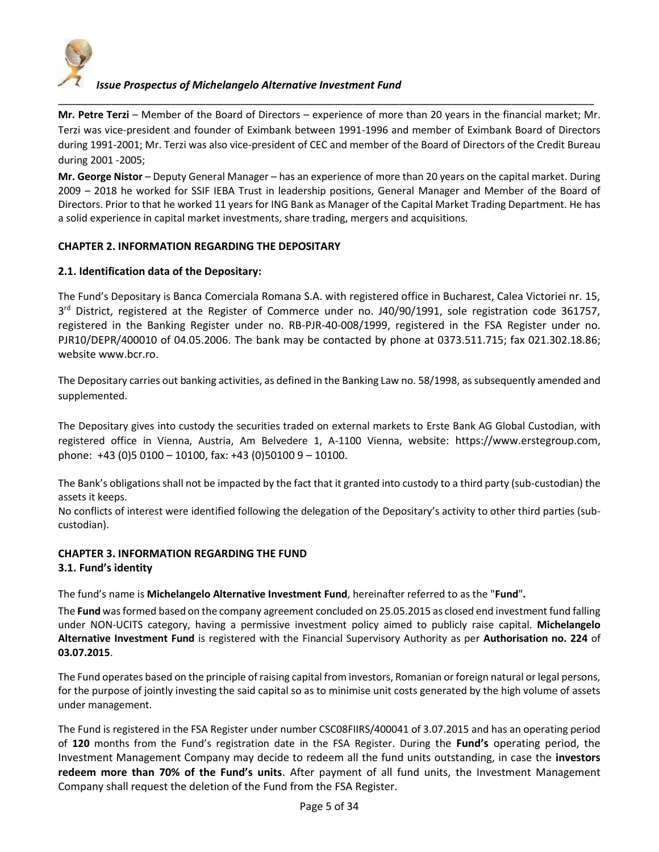

**Mr. Petre Terzi** – Member of the Board of Directors – experience of more than 20 years in the financial market; Mr. Terzi was vice-president and founder of Eximbank between 1991-1996 and member of Eximbank Board of Directors during 1991-2001; Mr. Terzi was also vice-president of CEC and member of the Board of Directors of the Credit Bureau during 2001 -2005;

\_\_\_\_\_\_\_\_\_\_\_\_\_\_\_\_\_\_\_\_\_\_\_\_\_\_\_\_\_\_\_\_\_\_\_\_\_\_\_\_\_\_\_\_\_\_\_\_\_\_\_\_\_\_\_\_\_\_\_\_\_\_\_\_\_\_\_\_\_\_\_\_\_\_\_\_\_\_\_\_\_\_\_\_\_\_\_\_\_\_\_

**Mr. George Nistor** – Deputy General Manager – has an experience of more than 20 years on the capital market. During 2009 – 2018 he worked for SSIF IEBA Trust in leadership positions, General Manager and Member of the Board of Directors. Prior to that he worked 11 years for ING Bank as Manager of the Capital Market Trading Department. He has a solid experience in capital market investments, share trading, mergers and acquisitions.

## **CHAPTER 2. INFORMATION REGARDING THE DEPOSITARY**

#### **2.1. Identification data of the Depositary:**

The Fund's Depositary is Banca Comerciala Romana S.A. with registered office in Bucharest, Calea Victoriei nr. 15, 3<sup>rd</sup> District, registered at the Register of Commerce under no. J40/90/1991, sole registration code 361757, registered in the Banking Register under no. RB-PJR-40-008/1999, registered in the FSA Register under no. PJR10/DEPR/400010 of 04.05.2006. The bank may be contacted by phone at 0373.511.715; fax 021.302.18.86; website www.bcr.ro.

The Depositary carries out banking activities, as defined in the Banking Law no. 58/1998, as subsequently amended and supplemented.

The Depositary gives into custody the securities traded on external markets to Erste Bank AG Global Custodian, with registered office in Vienna, Austria, Am Belvedere 1, A-1100 Vienna, website: [https://www.erstegroup.com,](https://www.erstegroup.com/) phone: +43 (0)5 0100 – 10100, fax: +43 (0)50100 9 – 10100.

The Bank's obligations shall not be impacted by the fact that it granted into custody to a third party (sub-custodian) the assets it keeps.

No conflicts of interest were identified following the delegation of the Depositary's activity to other third parties (subcustodian).

## **CHAPTER 3. INFORMATION REGARDING THE FUND 3.1. Fund's identity**

The fund's name is **Michelangelo Alternative Investment Fund**, hereinafter referred to as the "**Fund**"**.**

The **Fund** was formed based on the company agreement concluded on 25.05.2015 as closed end investment fund falling under NON-UCITS category, having a permissive investment policy aimed to publicly raise capital. **Michelangelo Alternative Investment Fund** is registered with the Financial Supervisory Authority as per **Authorisation no. 224** of **03.07.2015**.

The Fund operates based on the principle of raising capital from investors, Romanian or foreign natural or legal persons, for the purpose of jointly investing the said capital so as to minimise unit costs generated by the high volume of assets under management.

The Fund is registered in the FSA Register under number CSC08FIIRS/400041 of 3.07.2015 and has an operating period of **120** months from the Fund's registration date in the FSA Register. During the **Fund's** operating period, the Investment Management Company may decide to redeem all the fund units outstanding, in case the **investors redeem more than 70% of the Fund's units**. After payment of all fund units, the Investment Management Company shall request the deletion of the Fund from the FSA Register.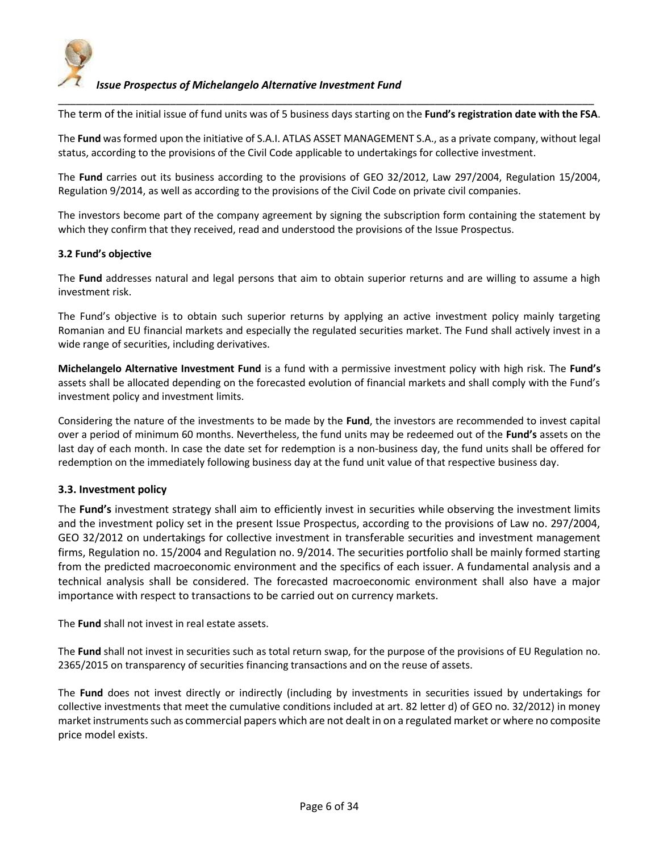

\_\_\_\_\_\_\_\_\_\_\_\_\_\_\_\_\_\_\_\_\_\_\_\_\_\_\_\_\_\_\_\_\_\_\_\_\_\_\_\_\_\_\_\_\_\_\_\_\_\_\_\_\_\_\_\_\_\_\_\_\_\_\_\_\_\_\_\_\_\_\_\_\_\_\_\_\_\_\_\_\_\_\_\_\_\_\_\_\_\_\_ The term of the initial issue of fund units was of 5 business days starting on the **Fund's registration date with the FSA**.

The **Fund** was formed upon the initiative of S.A.I. ATLAS ASSET MANAGEMENT S.A., as a private company, without legal status, according to the provisions of the Civil Code applicable to undertakings for collective investment.

The **Fund** carries out its business according to the provisions of GEO 32/2012, Law 297/2004, Regulation 15/2004, Regulation 9/2014, as well as according to the provisions of the Civil Code on private civil companies.

The investors become part of the company agreement by signing the subscription form containing the statement by which they confirm that they received, read and understood the provisions of the Issue Prospectus.

#### **3.2 Fund's objective**

The **Fund** addresses natural and legal persons that aim to obtain superior returns and are willing to assume a high investment risk.

The Fund's objective is to obtain such superior returns by applying an active investment policy mainly targeting Romanian and EU financial markets and especially the regulated securities market. The Fund shall actively invest in a wide range of securities, including derivatives.

**Michelangelo Alternative Investment Fund** is a fund with a permissive investment policy with high risk. The **Fund's** assets shall be allocated depending on the forecasted evolution of financial markets and shall comply with the Fund's investment policy and investment limits.

Considering the nature of the investments to be made by the **Fund**, the investors are recommended to invest capital over a period of minimum 60 months. Nevertheless, the fund units may be redeemed out of the **Fund's** assets on the last day of each month. In case the date set for redemption is a non-business day, the fund units shall be offered for redemption on the immediately following business day at the fund unit value of that respective business day.

## **3.3. Investment policy**

The **Fund's** investment strategy shall aim to efficiently invest in securities while observing the investment limits and the investment policy set in the present Issue Prospectus, according to the provisions of Law no. 297/2004, GEO 32/2012 on undertakings for collective investment in transferable securities and investment management firms, Regulation no. 15/2004 and Regulation no. 9/2014. The securities portfolio shall be mainly formed starting from the predicted macroeconomic environment and the specifics of each issuer. A fundamental analysis and a technical analysis shall be considered. The forecasted macroeconomic environment shall also have a major importance with respect to transactions to be carried out on currency markets.

The **Fund** shall not invest in real estate assets.

The **Fund** shall not invest in securities such as total return swap, for the purpose of the provisions of EU Regulation no. 2365/2015 on transparency of securities financing transactions and on the reuse of assets.

The **Fund** does not invest directly or indirectly (including by investments in securities issued by undertakings for collective investments that meet the cumulative conditions included at art. 82 letter d) of GEO no. 32/2012) in money market instruments such as commercial papers which are not dealt in on a regulated market or where no composite price model exists.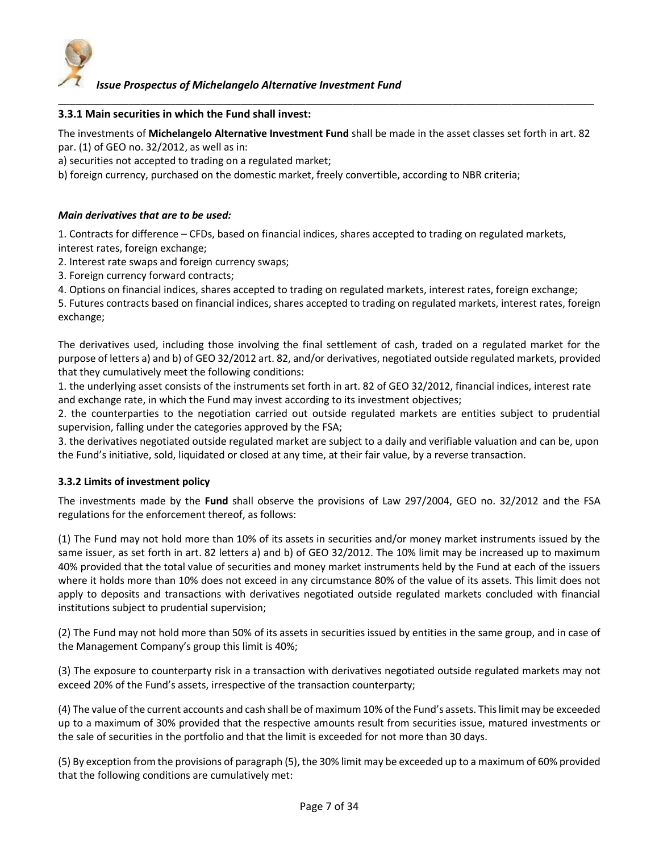

#### **3.3.1 Main securities in which the Fund shall invest:**

The investments of **Michelangelo Alternative Investment Fund** shall be made in the asset classes set forth in art. 82 par. (1) of GEO no. 32/2012, as well as in:

\_\_\_\_\_\_\_\_\_\_\_\_\_\_\_\_\_\_\_\_\_\_\_\_\_\_\_\_\_\_\_\_\_\_\_\_\_\_\_\_\_\_\_\_\_\_\_\_\_\_\_\_\_\_\_\_\_\_\_\_\_\_\_\_\_\_\_\_\_\_\_\_\_\_\_\_\_\_\_\_\_\_\_\_\_\_\_\_\_\_\_

a) securities not accepted to trading on a regulated market;

b) foreign currency, purchased on the domestic market, freely convertible, according to NBR criteria;

## *Main derivatives that are to be used:*

1. Contracts for difference – CFDs, based on financial indices, shares accepted to trading on regulated markets, interest rates, foreign exchange;

2. Interest rate swaps and foreign currency swaps;

3. Foreign currency forward contracts;

4. Options on financial indices, shares accepted to trading on regulated markets, interest rates, foreign exchange;

5. Futures contracts based on financial indices, shares accepted to trading on regulated markets, interest rates, foreign exchange;

The derivatives used, including those involving the final settlement of cash, traded on a regulated market for the purpose of letters a) and b) of GEO 32/2012 art. 82, and/or derivatives, negotiated outside regulated markets, provided that they cumulatively meet the following conditions:

1. the underlying asset consists of the instruments set forth in art. 82 of GEO 32/2012, financial indices, interest rate and exchange rate, in which the Fund may invest according to its investment objectives;

2. the counterparties to the negotiation carried out outside regulated markets are entities subject to prudential supervision, falling under the categories approved by the FSA;

3. the derivatives negotiated outside regulated market are subject to a daily and verifiable valuation and can be, upon the Fund's initiative, sold, liquidated or closed at any time, at their fair value, by a reverse transaction.

## **3.3.2 Limits of investment policy**

The investments made by the **Fund** shall observe the provisions of Law 297/2004, GEO no. 32/2012 and the FSA regulations for the enforcement thereof, as follows:

(1) The Fund may not hold more than 10% of its assets in securities and/or money market instruments issued by the same issuer, as set forth in art. 82 letters a) and b) of GEO 32/2012. The 10% limit may be increased up to maximum 40% provided that the total value of securities and money market instruments held by the Fund at each of the issuers where it holds more than 10% does not exceed in any circumstance 80% of the value of its assets. This limit does not apply to deposits and transactions with derivatives negotiated outside regulated markets concluded with financial institutions subject to prudential supervision;

(2) The Fund may not hold more than 50% of its assets in securities issued by entities in the same group, and in case of the Management Company's group this limit is 40%;

(3) The exposure to counterparty risk in a transaction with derivatives negotiated outside regulated markets may not exceed 20% of the Fund's assets, irrespective of the transaction counterparty;

(4) The value of the current accounts and cash shall be of maximum 10% of the Fund's assets. This limit may be exceeded up to a maximum of 30% provided that the respective amounts result from securities issue, matured investments or the sale of securities in the portfolio and that the limit is exceeded for not more than 30 days.

(5) By exception from the provisions of paragraph (5), the 30% limit may be exceeded up to a maximum of 60% provided that the following conditions are cumulatively met: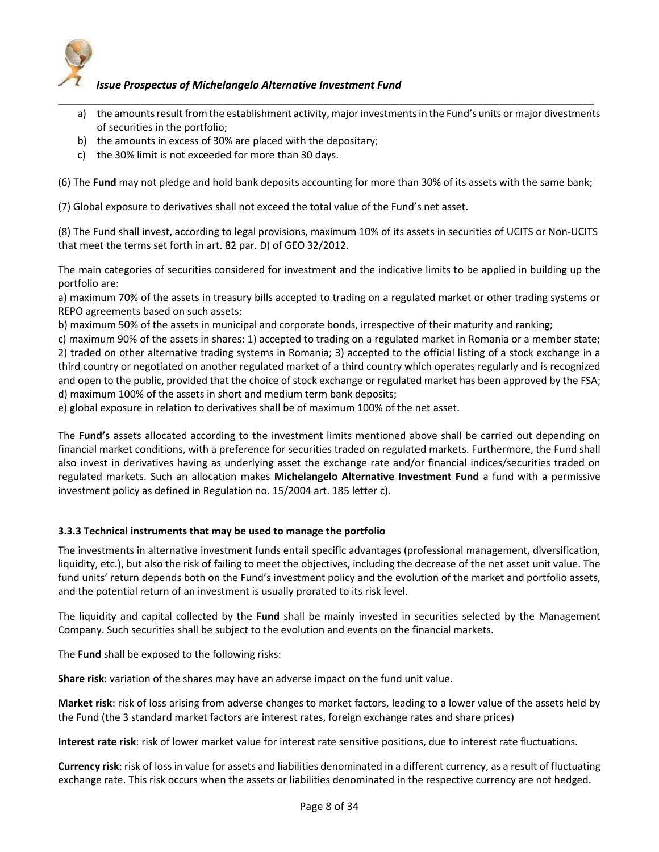

- a) the amounts result from the establishment activity, major investments in the Fund's units or major divestments of securities in the portfolio;
- b) the amounts in excess of 30% are placed with the depositary;
- c) the 30% limit is not exceeded for more than 30 days.

(6) The **Fund** may not pledge and hold bank deposits accounting for more than 30% of its assets with the same bank;

\_\_\_\_\_\_\_\_\_\_\_\_\_\_\_\_\_\_\_\_\_\_\_\_\_\_\_\_\_\_\_\_\_\_\_\_\_\_\_\_\_\_\_\_\_\_\_\_\_\_\_\_\_\_\_\_\_\_\_\_\_\_\_\_\_\_\_\_\_\_\_\_\_\_\_\_\_\_\_\_\_\_\_\_\_\_\_\_\_\_\_

(7) Global exposure to derivatives shall not exceed the total value of the Fund's net asset.

(8) The Fund shall invest, according to legal provisions, maximum 10% of its assets in securities of UCITS or Non-UCITS that meet the terms set forth in art. 82 par. D) of GEO 32/2012.

The main categories of securities considered for investment and the indicative limits to be applied in building up the portfolio are:

a) maximum 70% of the assets in treasury bills accepted to trading on a regulated market or other trading systems or REPO agreements based on such assets;

b) maximum 50% of the assets in municipal and corporate bonds, irrespective of their maturity and ranking;

c) maximum 90% of the assets in shares: 1) accepted to trading on a regulated market in Romania or a member state; 2) traded on other alternative trading systems in Romania; 3) accepted to the official listing of a stock exchange in a third country or negotiated on another regulated market of a third country which operates regularly and is recognized and open to the public, provided that the choice of stock exchange or regulated market has been approved by the FSA; d) maximum 100% of the assets in short and medium term bank deposits;

e) global exposure in relation to derivatives shall be of maximum 100% of the net asset.

The **Fund's** assets allocated according to the investment limits mentioned above shall be carried out depending on financial market conditions, with a preference for securities traded on regulated markets. Furthermore, the Fund shall also invest in derivatives having as underlying asset the exchange rate and/or financial indices/securities traded on regulated markets. Such an allocation makes **Michelangelo Alternative Investment Fund** a fund with a permissive investment policy as defined in Regulation no. 15/2004 art. 185 letter c).

## **3.3.3 Technical instruments that may be used to manage the portfolio**

The investments in alternative investment funds entail specific advantages (professional management, diversification, liquidity, etc.), but also the risk of failing to meet the objectives, including the decrease of the net asset unit value. The fund units' return depends both on the Fund's investment policy and the evolution of the market and portfolio assets, and the potential return of an investment is usually prorated to its risk level.

The liquidity and capital collected by the **Fund** shall be mainly invested in securities selected by the Management Company. Such securities shall be subject to the evolution and events on the financial markets.

The **Fund** shall be exposed to the following risks:

**Share risk**: variation of the shares may have an adverse impact on the fund unit value.

**Market risk**: risk of loss arising from adverse changes to market factors, leading to a lower value of the assets held by the Fund (the 3 standard market factors are interest rates, foreign exchange rates and share prices)

**Interest rate risk**: risk of lower market value for interest rate sensitive positions, due to interest rate fluctuations.

**Currency risk**: risk of loss in value for assets and liabilities denominated in a different currency, as a result of fluctuating exchange rate. This risk occurs when the assets or liabilities denominated in the respective currency are not hedged.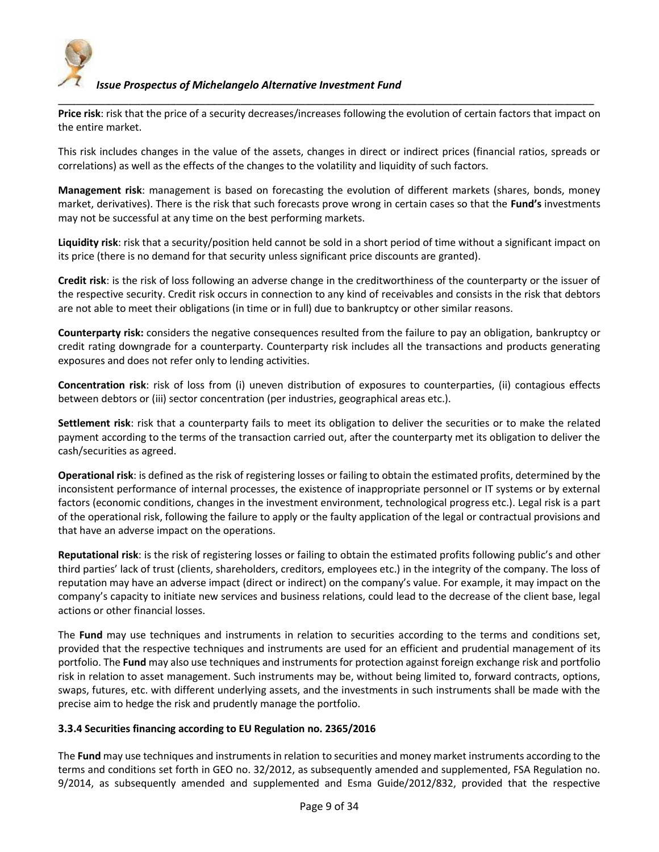

**Price risk**: risk that the price of a security decreases/increases following the evolution of certain factors that impact on the entire market.

\_\_\_\_\_\_\_\_\_\_\_\_\_\_\_\_\_\_\_\_\_\_\_\_\_\_\_\_\_\_\_\_\_\_\_\_\_\_\_\_\_\_\_\_\_\_\_\_\_\_\_\_\_\_\_\_\_\_\_\_\_\_\_\_\_\_\_\_\_\_\_\_\_\_\_\_\_\_\_\_\_\_\_\_\_\_\_\_\_\_\_

This risk includes changes in the value of the assets, changes in direct or indirect prices (financial ratios, spreads or correlations) as well as the effects of the changes to the volatility and liquidity of such factors.

**Management risk**: management is based on forecasting the evolution of different markets (shares, bonds, money market, derivatives). There is the risk that such forecasts prove wrong in certain cases so that the **Fund's** investments may not be successful at any time on the best performing markets.

**Liquidity risk**: risk that a security/position held cannot be sold in a short period of time without a significant impact on its price (there is no demand for that security unless significant price discounts are granted).

**Credit risk**: is the risk of loss following an adverse change in the creditworthiness of the counterparty or the issuer of the respective security. Credit risk occurs in connection to any kind of receivables and consists in the risk that debtors are not able to meet their obligations (in time or in full) due to bankruptcy or other similar reasons.

**Counterparty risk:** considers the negative consequences resulted from the failure to pay an obligation, bankruptcy or credit rating downgrade for a counterparty. Counterparty risk includes all the transactions and products generating exposures and does not refer only to lending activities.

**Concentration risk**: risk of loss from (i) uneven distribution of exposures to counterparties, (ii) contagious effects between debtors or (iii) sector concentration (per industries, geographical areas etc.).

**Settlement risk**: risk that a counterparty fails to meet its obligation to deliver the securities or to make the related payment according to the terms of the transaction carried out, after the counterparty met its obligation to deliver the cash/securities as agreed.

**Operational risk**: is defined as the risk of registering losses or failing to obtain the estimated profits, determined by the inconsistent performance of internal processes, the existence of inappropriate personnel or IT systems or by external factors (economic conditions, changes in the investment environment, technological progress etc.). Legal risk is a part of the operational risk, following the failure to apply or the faulty application of the legal or contractual provisions and that have an adverse impact on the operations.

**Reputational risk**: is the risk of registering losses or failing to obtain the estimated profits following public's and other third parties' lack of trust (clients, shareholders, creditors, employees etc.) in the integrity of the company. The loss of reputation may have an adverse impact (direct or indirect) on the company's value. For example, it may impact on the company's capacity to initiate new services and business relations, could lead to the decrease of the client base, legal actions or other financial losses.

The **Fund** may use techniques and instruments in relation to securities according to the terms and conditions set, provided that the respective techniques and instruments are used for an efficient and prudential management of its portfolio. The **Fund** may also use techniques and instruments for protection against foreign exchange risk and portfolio risk in relation to asset management. Such instruments may be, without being limited to, forward contracts, options, swaps, futures, etc. with different underlying assets, and the investments in such instruments shall be made with the precise aim to hedge the risk and prudently manage the portfolio.

## **3.3.4 Securities financing according to EU Regulation no. 2365/2016**

The **Fund** may use techniques and instruments in relation to securities and money market instruments according to the terms and conditions set forth in GEO no. 32/2012, as subsequently amended and supplemented, FSA Regulation no. 9/2014, as subsequently amended and supplemented and Esma Guide/2012/832, provided that the respective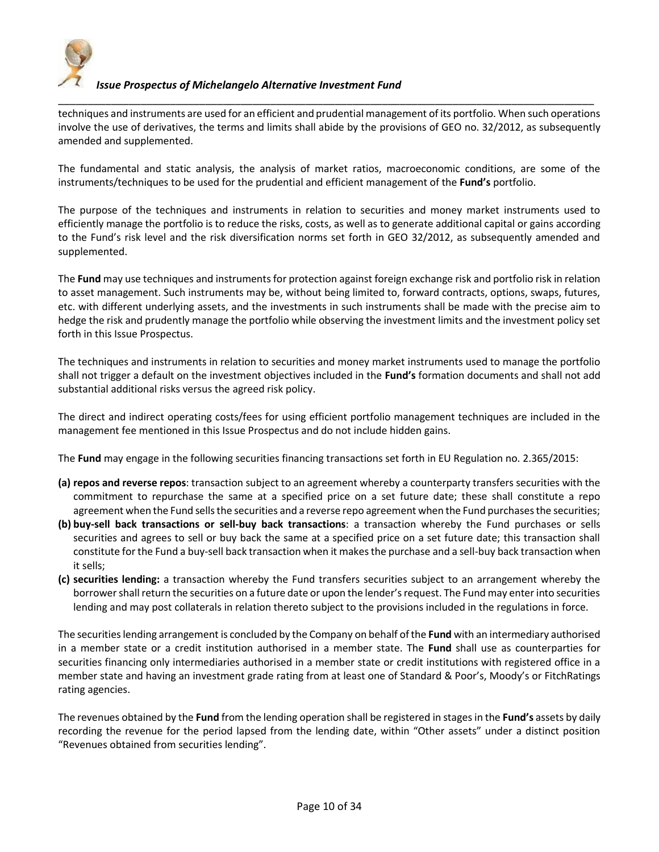

\_\_\_\_\_\_\_\_\_\_\_\_\_\_\_\_\_\_\_\_\_\_\_\_\_\_\_\_\_\_\_\_\_\_\_\_\_\_\_\_\_\_\_\_\_\_\_\_\_\_\_\_\_\_\_\_\_\_\_\_\_\_\_\_\_\_\_\_\_\_\_\_\_\_\_\_\_\_\_\_\_\_\_\_\_\_\_\_\_\_\_ techniques and instruments are used for an efficient and prudential management of its portfolio. When such operations involve the use of derivatives, the terms and limits shall abide by the provisions of GEO no. 32/2012, as subsequently amended and supplemented.

The fundamental and static analysis, the analysis of market ratios, macroeconomic conditions, are some of the instruments/techniques to be used for the prudential and efficient management of the **Fund's** portfolio.

The purpose of the techniques and instruments in relation to securities and money market instruments used to efficiently manage the portfolio is to reduce the risks, costs, as well as to generate additional capital or gains according to the Fund's risk level and the risk diversification norms set forth in GEO 32/2012, as subsequently amended and supplemented.

The **Fund** may use techniques and instruments for protection against foreign exchange risk and portfolio risk in relation to asset management. Such instruments may be, without being limited to, forward contracts, options, swaps, futures, etc. with different underlying assets, and the investments in such instruments shall be made with the precise aim to hedge the risk and prudently manage the portfolio while observing the investment limits and the investment policy set forth in this Issue Prospectus.

The techniques and instruments in relation to securities and money market instruments used to manage the portfolio shall not trigger a default on the investment objectives included in the **Fund's** formation documents and shall not add substantial additional risks versus the agreed risk policy.

The direct and indirect operating costs/fees for using efficient portfolio management techniques are included in the management fee mentioned in this Issue Prospectus and do not include hidden gains.

The **Fund** may engage in the following securities financing transactions set forth in EU Regulation no. 2.365/2015:

- **(a) repos and reverse repos**: transaction subject to an agreement whereby a counterparty transfers securities with the commitment to repurchase the same at a specified price on a set future date; these shall constitute a repo agreement when the Fund sells the securities and a reverse repo agreement when the Fund purchases the securities;
- **(b) buy-sell back transactions or sell-buy back transactions**: a transaction whereby the Fund purchases or sells securities and agrees to sell or buy back the same at a specified price on a set future date; this transaction shall constitute for the Fund a buy-sell back transaction when it makes the purchase and a sell-buy back transaction when it sells;
- **(c) securities lending:** a transaction whereby the Fund transfers securities subject to an arrangement whereby the borrower shall return the securities on a future date or upon the lender's request. The Fund may enter into securities lending and may post collaterals in relation thereto subject to the provisions included in the regulations in force.

The securities lending arrangement is concluded by the Company on behalf of the **Fund** with an intermediary authorised in a member state or a credit institution authorised in a member state. The **Fund** shall use as counterparties for securities financing only intermediaries authorised in a member state or credit institutions with registered office in a member state and having an investment grade rating from at least one of Standard & Poor's, Moody's or FitchRatings rating agencies.

The revenues obtained by the **Fund** from the lending operation shall be registered in stages in the **Fund's** assets by daily recording the revenue for the period lapsed from the lending date, within "Other assets" under a distinct position "Revenues obtained from securities lending".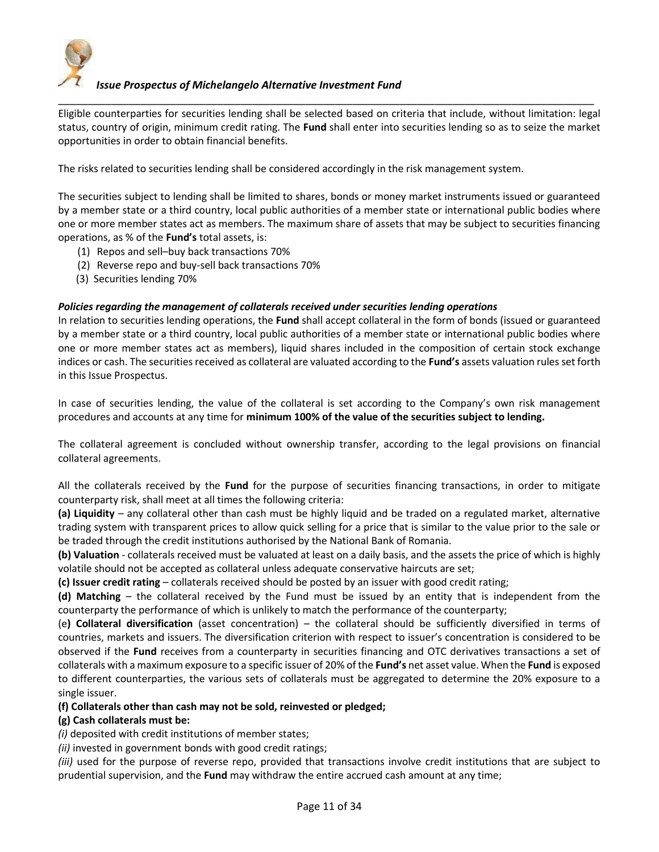

Eligible counterparties for securities lending shall be selected based on criteria that include, without limitation: legal status, country of origin, minimum credit rating. The **Fund** shall enter into securities lending so as to seize the market opportunities in order to obtain financial benefits.

\_\_\_\_\_\_\_\_\_\_\_\_\_\_\_\_\_\_\_\_\_\_\_\_\_\_\_\_\_\_\_\_\_\_\_\_\_\_\_\_\_\_\_\_\_\_\_\_\_\_\_\_\_\_\_\_\_\_\_\_\_\_\_\_\_\_\_\_\_\_\_\_\_\_\_\_\_\_\_\_\_\_\_\_\_\_\_\_\_\_\_

The risks related to securities lending shall be considered accordingly in the risk management system.

The securities subject to lending shall be limited to shares, bonds or money market instruments issued or guaranteed by a member state or a third country, local public authorities of a member state or international public bodies where one or more member states act as members. The maximum share of assets that may be subject to securities financing operations, as % of the **Fund's** total assets, is:

- (1) Repos and sell–buy back transactions 70%
- (2) Reverse repo and buy-sell back transactions 70%
- (3) Securities lending 70%

#### *Policies regarding the management of collaterals received under securities lending operations*

In relation to securities lending operations, the **Fund** shall accept collateral in the form of bonds (issued or guaranteed by a member state or a third country, local public authorities of a member state or international public bodies where one or more member states act as members), liquid shares included in the composition of certain stock exchange indices or cash. The securities received as collateral are valuated according to the **Fund's** assets valuation rules set forth in this Issue Prospectus.

In case of securities lending, the value of the collateral is set according to the Company's own risk management procedures and accounts at any time for **minimum 100% of the value of the securities subject to lending.** 

The collateral agreement is concluded without ownership transfer, according to the legal provisions on financial collateral agreements.

All the collaterals received by the **Fund** for the purpose of securities financing transactions, in order to mitigate counterparty risk, shall meet at all times the following criteria:

**(a) Liquidity** – any collateral other than cash must be highly liquid and be traded on a regulated market, alternative trading system with transparent prices to allow quick selling for a price that is similar to the value prior to the sale or be traded through the credit institutions authorised by the National Bank of Romania.

**(b) Valuation** - collaterals received must be valuated at least on a daily basis, and the assets the price of which is highly volatile should not be accepted as collateral unless adequate conservative haircuts are set;

**(c) Issuer credit rating** – collaterals received should be posted by an issuer with good credit rating;

**(d) Matching** – the collateral received by the Fund must be issued by an entity that is independent from the counterparty the performance of which is unlikely to match the performance of the counterparty;

(e**) Collateral diversification** (asset concentration) – the collateral should be sufficiently diversified in terms of countries, markets and issuers. The diversification criterion with respect to issuer's concentration is considered to be observed if the **Fund** receives from a counterparty in securities financing and OTC derivatives transactions a set of collaterals with a maximum exposure to a specific issuer of 20% of the **Fund's** net asset value. When the **Fund** is exposed to different counterparties, the various sets of collaterals must be aggregated to determine the 20% exposure to a single issuer.

#### **(f) Collaterals other than cash may not be sold, reinvested or pledged;**

#### **(g) Cash collaterals must be:**

*(i)* deposited with credit institutions of member states;

*(ii)* invested in government bonds with good credit ratings;

*(iii)* used for the purpose of reverse repo, provided that transactions involve credit institutions that are subject to prudential supervision, and the **Fund** may withdraw the entire accrued cash amount at any time;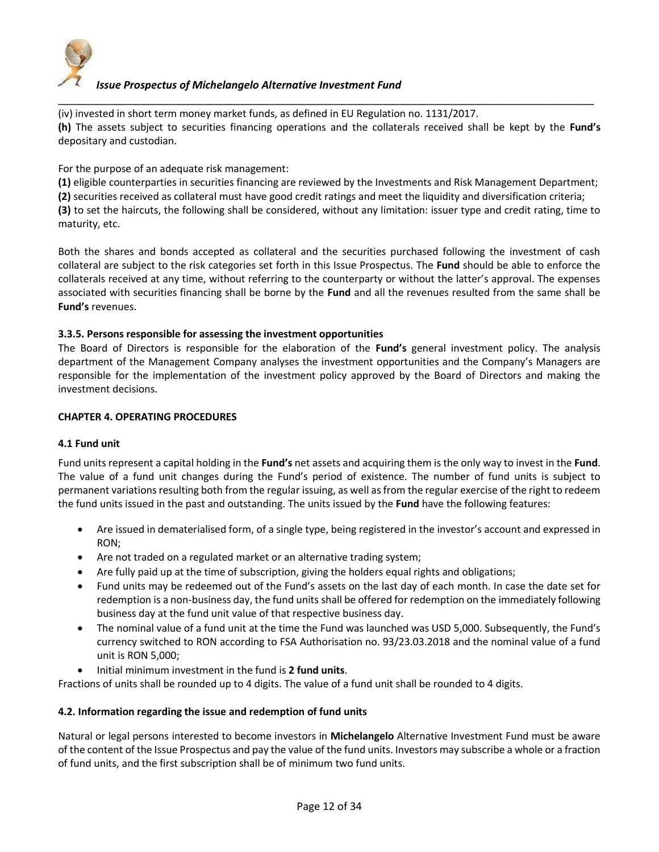

(iv) invested in short term money market funds, as defined in EU Regulation no. 1131/2017. **(h)** The assets subject to securities financing operations and the collaterals received shall be kept by the **Fund's** depositary and custodian.

\_\_\_\_\_\_\_\_\_\_\_\_\_\_\_\_\_\_\_\_\_\_\_\_\_\_\_\_\_\_\_\_\_\_\_\_\_\_\_\_\_\_\_\_\_\_\_\_\_\_\_\_\_\_\_\_\_\_\_\_\_\_\_\_\_\_\_\_\_\_\_\_\_\_\_\_\_\_\_\_\_\_\_\_\_\_\_\_\_\_\_

For the purpose of an adequate risk management:

**(1)** eligible counterparties in securities financing are reviewed by the Investments and Risk Management Department;

**(2)** securities received as collateral must have good credit ratings and meet the liquidity and diversification criteria;

**(3)** to set the haircuts, the following shall be considered, without any limitation: issuer type and credit rating, time to maturity, etc.

Both the shares and bonds accepted as collateral and the securities purchased following the investment of cash collateral are subject to the risk categories set forth in this Issue Prospectus. The **Fund** should be able to enforce the collaterals received at any time, without referring to the counterparty or without the latter's approval. The expenses associated with securities financing shall be borne by the **Fund** and all the revenues resulted from the same shall be **Fund's** revenues.

#### **3.3.5. Persons responsible for assessing the investment opportunities**

The Board of Directors is responsible for the elaboration of the **Fund's** general investment policy. The analysis department of the Management Company analyses the investment opportunities and the Company's Managers are responsible for the implementation of the investment policy approved by the Board of Directors and making the investment decisions.

#### **CHAPTER 4. OPERATING PROCEDURES**

#### **4.1 Fund unit**

Fund units represent a capital holding in the **Fund's** net assets and acquiring them is the only way to invest in the **Fund**. The value of a fund unit changes during the Fund's period of existence. The number of fund units is subject to permanent variations resulting both from the regular issuing, as well as from the regular exercise of the right to redeem the fund units issued in the past and outstanding. The units issued by the **Fund** have the following features:

- Are issued in dematerialised form, of a single type, being registered in the investor's account and expressed in RON;
- Are not traded on a regulated market or an alternative trading system;
- Are fully paid up at the time of subscription, giving the holders equal rights and obligations;
- Fund units may be redeemed out of the Fund's assets on the last day of each month. In case the date set for redemption is a non-business day, the fund units shall be offered for redemption on the immediately following business day at the fund unit value of that respective business day.
- The nominal value of a fund unit at the time the Fund was launched was USD 5,000. Subsequently, the Fund's currency switched to RON according to FSA Authorisation no. 93/23.03.2018 and the nominal value of a fund unit is RON 5,000;
- Initial minimum investment in the fund is **2 fund units**.

Fractions of units shall be rounded up to 4 digits. The value of a fund unit shall be rounded to 4 digits.

## **4.2. Information regarding the issue and redemption of fund units**

Natural or legal persons interested to become investors in **Michelangelo** Alternative Investment Fund must be aware of the content of the Issue Prospectus and pay the value of the fund units. Investors may subscribe a whole or a fraction of fund units, and the first subscription shall be of minimum two fund units.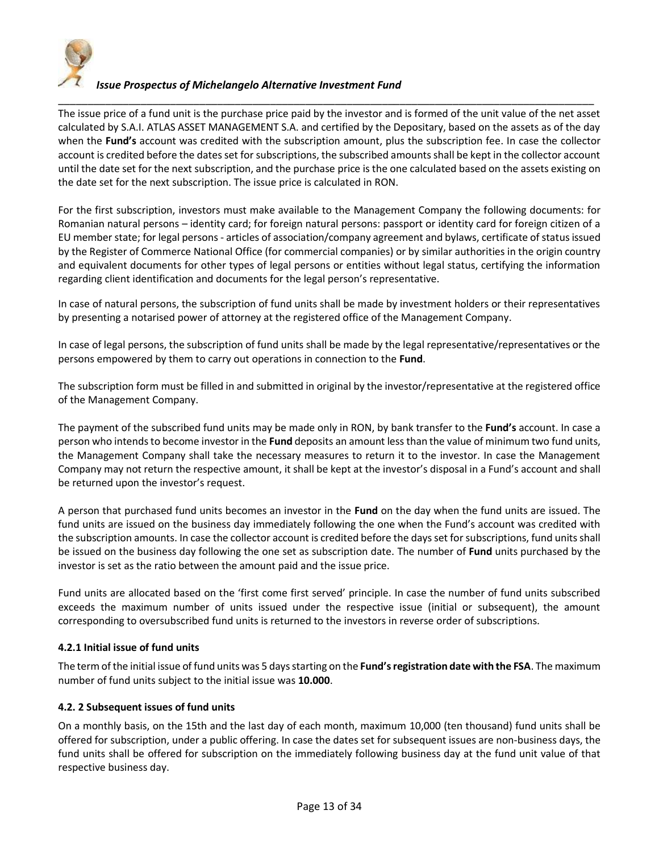

\_\_\_\_\_\_\_\_\_\_\_\_\_\_\_\_\_\_\_\_\_\_\_\_\_\_\_\_\_\_\_\_\_\_\_\_\_\_\_\_\_\_\_\_\_\_\_\_\_\_\_\_\_\_\_\_\_\_\_\_\_\_\_\_\_\_\_\_\_\_\_\_\_\_\_\_\_\_\_\_\_\_\_\_\_\_\_\_\_\_\_ The issue price of a fund unit is the purchase price paid by the investor and is formed of the unit value of the net asset calculated by S.A.I. ATLAS ASSET MANAGEMENT S.A. and certified by the Depositary, based on the assets as of the day when the **Fund's** account was credited with the subscription amount, plus the subscription fee. In case the collector account is credited before the dates set for subscriptions, the subscribed amounts shall be kept in the collector account until the date set for the next subscription, and the purchase price is the one calculated based on the assets existing on the date set for the next subscription. The issue price is calculated in RON.

For the first subscription, investors must make available to the Management Company the following documents: for Romanian natural persons – identity card; for foreign natural persons: passport or identity card for foreign citizen of a EU member state; for legal persons - articles of association/company agreement and bylaws, certificate of status issued by the Register of Commerce National Office (for commercial companies) or by similar authorities in the origin country and equivalent documents for other types of legal persons or entities without legal status, certifying the information regarding client identification and documents for the legal person's representative.

In case of natural persons, the subscription of fund units shall be made by investment holders or their representatives by presenting a notarised power of attorney at the registered office of the Management Company.

In case of legal persons, the subscription of fund units shall be made by the legal representative/representatives or the persons empowered by them to carry out operations in connection to the **Fund**.

The subscription form must be filled in and submitted in original by the investor/representative at the registered office of the Management Company.

The payment of the subscribed fund units may be made only in RON, by bank transfer to the **Fund's** account. In case a person who intends to become investor in the **Fund** deposits an amount less than the value of minimum two fund units, the Management Company shall take the necessary measures to return it to the investor. In case the Management Company may not return the respective amount, it shall be kept at the investor's disposal in a Fund's account and shall be returned upon the investor's request.

A person that purchased fund units becomes an investor in the **Fund** on the day when the fund units are issued. The fund units are issued on the business day immediately following the one when the Fund's account was credited with the subscription amounts. In case the collector account is credited before the days set for subscriptions, fund units shall be issued on the business day following the one set as subscription date. The number of **Fund** units purchased by the investor is set as the ratio between the amount paid and the issue price.

Fund units are allocated based on the 'first come first served' principle. In case the number of fund units subscribed exceeds the maximum number of units issued under the respective issue (initial or subsequent), the amount corresponding to oversubscribed fund units is returned to the investors in reverse order of subscriptions.

## **4.2.1 Initial issue of fund units**

The term of the initial issue of fund units was 5 days starting on the **Fund's registration date with the FSA**. The maximum number of fund units subject to the initial issue was **10.000**.

## **4.2. 2 Subsequent issues of fund units**

On a monthly basis, on the 15th and the last day of each month, maximum 10,000 (ten thousand) fund units shall be offered for subscription, under a public offering. In case the dates set for subsequent issues are non-business days, the fund units shall be offered for subscription on the immediately following business day at the fund unit value of that respective business day.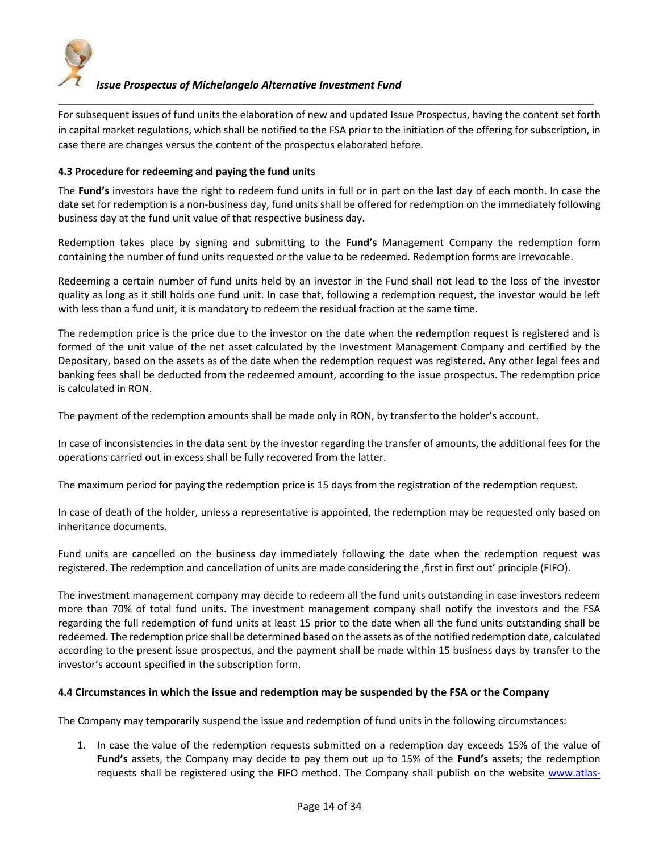

For subsequent issues of fund units the elaboration of new and updated Issue Prospectus, having the content set forth in capital market regulations, which shall be notified to the FSA prior to the initiation of the offering for subscription, in case there are changes versus the content of the prospectus elaborated before.

\_\_\_\_\_\_\_\_\_\_\_\_\_\_\_\_\_\_\_\_\_\_\_\_\_\_\_\_\_\_\_\_\_\_\_\_\_\_\_\_\_\_\_\_\_\_\_\_\_\_\_\_\_\_\_\_\_\_\_\_\_\_\_\_\_\_\_\_\_\_\_\_\_\_\_\_\_\_\_\_\_\_\_\_\_\_\_\_\_\_\_

## **4.3 Procedure for redeeming and paying the fund units**

The **Fund's** investors have the right to redeem fund units in full or in part on the last day of each month. In case the date set for redemption is a non-business day, fund units shall be offered for redemption on the immediately following business day at the fund unit value of that respective business day.

Redemption takes place by signing and submitting to the **Fund's** Management Company the redemption form containing the number of fund units requested or the value to be redeemed. Redemption forms are irrevocable.

Redeeming a certain number of fund units held by an investor in the Fund shall not lead to the loss of the investor quality as long as it still holds one fund unit. In case that, following a redemption request, the investor would be left with less than a fund unit, it is mandatory to redeem the residual fraction at the same time.

The redemption price is the price due to the investor on the date when the redemption request is registered and is formed of the unit value of the net asset calculated by the Investment Management Company and certified by the Depositary, based on the assets as of the date when the redemption request was registered. Any other legal fees and banking fees shall be deducted from the redeemed amount, according to the issue prospectus. The redemption price is calculated in RON.

The payment of the redemption amounts shall be made only in RON, by transfer to the holder's account.

In case of inconsistencies in the data sent by the investor regarding the transfer of amounts, the additional fees for the operations carried out in excess shall be fully recovered from the latter.

The maximum period for paying the redemption price is 15 days from the registration of the redemption request.

In case of death of the holder, unless a representative is appointed, the redemption may be requested only based on inheritance documents.

Fund units are cancelled on the business day immediately following the date when the redemption request was registered. The redemption and cancellation of units are made considering the first in first out' principle (FIFO).

The investment management company may decide to redeem all the fund units outstanding in case investors redeem more than 70% of total fund units. The investment management company shall notify the investors and the FSA regarding the full redemption of fund units at least 15 prior to the date when all the fund units outstanding shall be redeemed. The redemption price shall be determined based on the assets as of the notified redemption date, calculated according to the present issue prospectus, and the payment shall be made within 15 business days by transfer to the investor's account specified in the subscription form.

## **4.4 Circumstances in which the issue and redemption may be suspended by the FSA or the Company**

The Company may temporarily suspend the issue and redemption of fund units in the following circumstances:

1. In case the value of the redemption requests submitted on a redemption day exceeds 15% of the value of **Fund's** assets, the Company may decide to pay them out up to 15% of the **Fund's** assets; the redemption requests shall be registered using the FIFO method. The Company shall publish on the website [www.atlas-](http://www.atlas-am.ro/)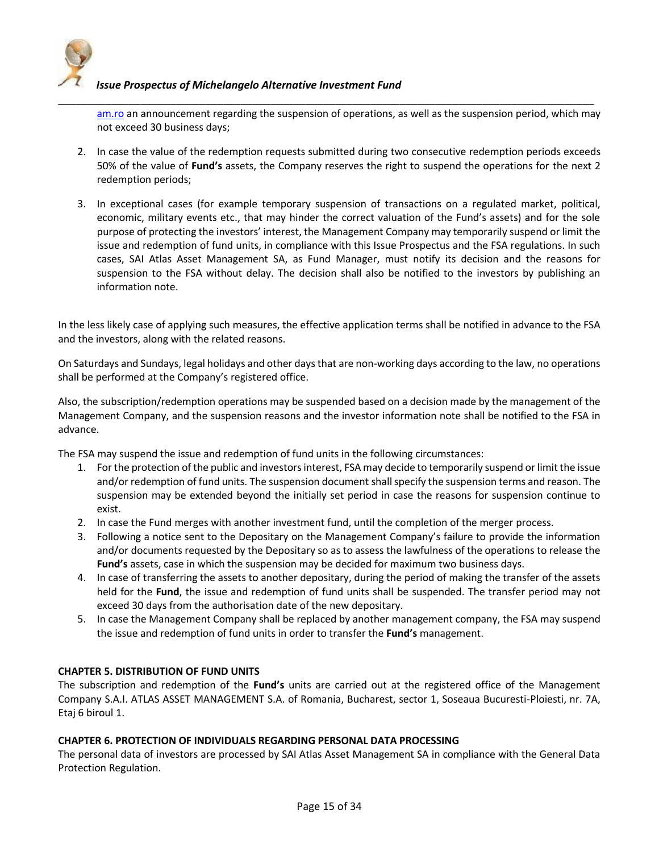

[am.ro](http://www.atlas-am.ro/) an announcement regarding the suspension of operations, as well as the suspension period, which may not exceed 30 business days;

\_\_\_\_\_\_\_\_\_\_\_\_\_\_\_\_\_\_\_\_\_\_\_\_\_\_\_\_\_\_\_\_\_\_\_\_\_\_\_\_\_\_\_\_\_\_\_\_\_\_\_\_\_\_\_\_\_\_\_\_\_\_\_\_\_\_\_\_\_\_\_\_\_\_\_\_\_\_\_\_\_\_\_\_\_\_\_\_\_\_\_

- 2. In case the value of the redemption requests submitted during two consecutive redemption periods exceeds 50% of the value of **Fund's** assets, the Company reserves the right to suspend the operations for the next 2 redemption periods;
- 3. In exceptional cases (for example temporary suspension of transactions on a regulated market, political, economic, military events etc., that may hinder the correct valuation of the Fund's assets) and for the sole purpose of protecting the investors' interest, the Management Company may temporarily suspend or limit the issue and redemption of fund units, in compliance with this Issue Prospectus and the FSA regulations. In such cases, SAI Atlas Asset Management SA, as Fund Manager, must notify its decision and the reasons for suspension to the FSA without delay. The decision shall also be notified to the investors by publishing an information note.

In the less likely case of applying such measures, the effective application terms shall be notified in advance to the FSA and the investors, along with the related reasons.

On Saturdays and Sundays, legal holidays and other days that are non-working days according to the law, no operations shall be performed at the Company's registered office.

Also, the subscription/redemption operations may be suspended based on a decision made by the management of the Management Company, and the suspension reasons and the investor information note shall be notified to the FSA in advance.

The FSA may suspend the issue and redemption of fund units in the following circumstances:

- 1. For the protection of the public and investors interest, FSA may decide to temporarily suspend or limit the issue and/or redemption of fund units. The suspension document shall specify the suspension terms and reason. The suspension may be extended beyond the initially set period in case the reasons for suspension continue to exist.
- 2. In case the Fund merges with another investment fund, until the completion of the merger process.
- 3. Following a notice sent to the Depositary on the Management Company's failure to provide the information and/or documents requested by the Depositary so as to assess the lawfulness of the operations to release the **Fund's** assets, case in which the suspension may be decided for maximum two business days.
- 4. In case of transferring the assets to another depositary, during the period of making the transfer of the assets held for the **Fund**, the issue and redemption of fund units shall be suspended. The transfer period may not exceed 30 days from the authorisation date of the new depositary.
- 5. In case the Management Company shall be replaced by another management company, the FSA may suspend the issue and redemption of fund units in order to transfer the **Fund's** management.

## **CHAPTER 5. DISTRIBUTION OF FUND UNITS**

The subscription and redemption of the **Fund's** units are carried out at the registered office of the Management Company S.A.I. ATLAS ASSET MANAGEMENT S.A. of Romania, Bucharest, sector 1, Soseaua Bucuresti-Ploiesti, nr. 7A, Etaj 6 biroul 1.

## **CHAPTER 6. PROTECTION OF INDIVIDUALS REGARDING PERSONAL DATA PROCESSING**

The personal data of investors are processed by SAI Atlas Asset Management SA in compliance with the General Data Protection Regulation.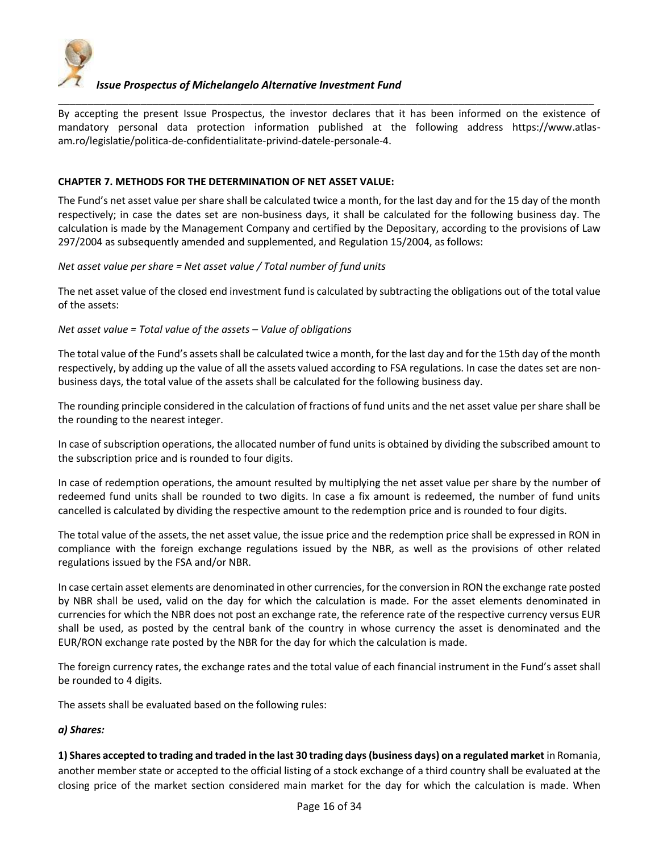

\_\_\_\_\_\_\_\_\_\_\_\_\_\_\_\_\_\_\_\_\_\_\_\_\_\_\_\_\_\_\_\_\_\_\_\_\_\_\_\_\_\_\_\_\_\_\_\_\_\_\_\_\_\_\_\_\_\_\_\_\_\_\_\_\_\_\_\_\_\_\_\_\_\_\_\_\_\_\_\_\_\_\_\_\_\_\_\_\_\_\_ By accepting the present Issue Prospectus, the investor declares that it has been informed on the existence of mandatory personal data protection information published at the following address https://www.atlasam.ro/legislatie/politica-de-confidentialitate-privind-datele-personale-4.

## **CHAPTER 7. METHODS FOR THE DETERMINATION OF NET ASSET VALUE:**

The Fund's net asset value per share shall be calculated twice a month, for the last day and for the 15 day of the month respectively; in case the dates set are non-business days, it shall be calculated for the following business day. The calculation is made by the Management Company and certified by the Depositary, according to the provisions of Law 297/2004 as subsequently amended and supplemented, and Regulation 15/2004, as follows:

*Net asset value per share = Net asset value / Total number of fund units*

The net asset value of the closed end investment fund is calculated by subtracting the obligations out of the total value of the assets:

*Net asset value = Total value of the assets – Value of obligations*

The total value of the Fund's assets shall be calculated twice a month, for the last day and for the 15th day of the month respectively, by adding up the value of all the assets valued according to FSA regulations. In case the dates set are nonbusiness days, the total value of the assets shall be calculated for the following business day.

The rounding principle considered in the calculation of fractions of fund units and the net asset value per share shall be the rounding to the nearest integer.

In case of subscription operations, the allocated number of fund units is obtained by dividing the subscribed amount to the subscription price and is rounded to four digits.

In case of redemption operations, the amount resulted by multiplying the net asset value per share by the number of redeemed fund units shall be rounded to two digits. In case a fix amount is redeemed, the number of fund units cancelled is calculated by dividing the respective amount to the redemption price and is rounded to four digits.

The total value of the assets, the net asset value, the issue price and the redemption price shall be expressed in RON in compliance with the foreign exchange regulations issued by the NBR, as well as the provisions of other related regulations issued by the FSA and/or NBR.

In case certain asset elements are denominated in other currencies, for the conversion in RON the exchange rate posted by NBR shall be used, valid on the day for which the calculation is made. For the asset elements denominated in currencies for which the NBR does not post an exchange rate, the reference rate of the respective currency versus EUR shall be used, as posted by the central bank of the country in whose currency the asset is denominated and the EUR/RON exchange rate posted by the NBR for the day for which the calculation is made.

The foreign currency rates, the exchange rates and the total value of each financial instrument in the Fund's asset shall be rounded to 4 digits.

The assets shall be evaluated based on the following rules:

## *a) Shares:*

**1) Shares accepted to trading and traded in the last 30 trading days (business days) on a regulated market** in Romania, another member state or accepted to the official listing of a stock exchange of a third country shall be evaluated at the closing price of the market section considered main market for the day for which the calculation is made. When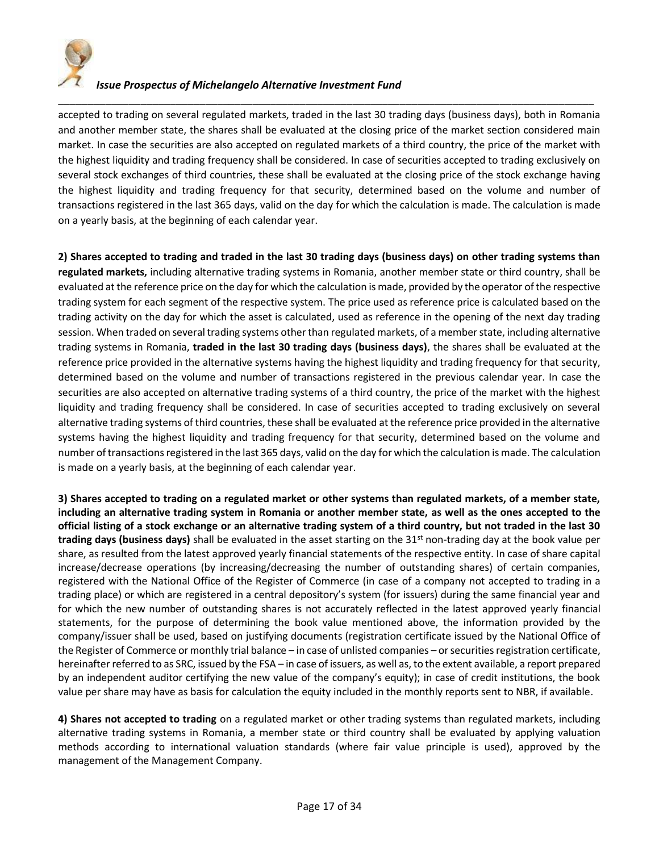

accepted to trading on several regulated markets, traded in the last 30 trading days (business days), both in Romania and another member state, the shares shall be evaluated at the closing price of the market section considered main market. In case the securities are also accepted on regulated markets of a third country, the price of the market with the highest liquidity and trading frequency shall be considered. In case of securities accepted to trading exclusively on several stock exchanges of third countries, these shall be evaluated at the closing price of the stock exchange having the highest liquidity and trading frequency for that security, determined based on the volume and number of transactions registered in the last 365 days, valid on the day for which the calculation is made. The calculation is made on a yearly basis, at the beginning of each calendar year.

\_\_\_\_\_\_\_\_\_\_\_\_\_\_\_\_\_\_\_\_\_\_\_\_\_\_\_\_\_\_\_\_\_\_\_\_\_\_\_\_\_\_\_\_\_\_\_\_\_\_\_\_\_\_\_\_\_\_\_\_\_\_\_\_\_\_\_\_\_\_\_\_\_\_\_\_\_\_\_\_\_\_\_\_\_\_\_\_\_\_\_

**2) Shares accepted to trading and traded in the last 30 trading days (business days) on other trading systems than regulated markets,** including alternative trading systems in Romania, another member state or third country, shall be evaluated at the reference price on the day for which the calculation is made, provided by the operator of the respective trading system for each segment of the respective system. The price used as reference price is calculated based on the trading activity on the day for which the asset is calculated, used as reference in the opening of the next day trading session. When traded on several trading systems other than regulated markets, of a member state, including alternative trading systems in Romania, **traded in the last 30 trading days (business days)**, the shares shall be evaluated at the reference price provided in the alternative systems having the highest liquidity and trading frequency for that security, determined based on the volume and number of transactions registered in the previous calendar year. In case the securities are also accepted on alternative trading systems of a third country, the price of the market with the highest liquidity and trading frequency shall be considered. In case of securities accepted to trading exclusively on several alternative trading systems of third countries, these shall be evaluated at the reference price provided in the alternative systems having the highest liquidity and trading frequency for that security, determined based on the volume and number of transactions registered in the last 365 days, valid on the day for which the calculation is made. The calculation is made on a yearly basis, at the beginning of each calendar year.

**3) Shares accepted to trading on a regulated market or other systems than regulated markets, of a member state, including an alternative trading system in Romania or another member state, as well as the ones accepted to the official listing of a stock exchange or an alternative trading system of a third country, but not traded in the last 30 trading days (business days)** shall be evaluated in the asset starting on the 31st non-trading day at the book value per share, as resulted from the latest approved yearly financial statements of the respective entity. In case of share capital increase/decrease operations (by increasing/decreasing the number of outstanding shares) of certain companies, registered with the National Office of the Register of Commerce (in case of a company not accepted to trading in a trading place) or which are registered in a central depository's system (for issuers) during the same financial year and for which the new number of outstanding shares is not accurately reflected in the latest approved yearly financial statements, for the purpose of determining the book value mentioned above, the information provided by the company/issuer shall be used, based on justifying documents (registration certificate issued by the National Office of the Register of Commerce or monthly trial balance – in case of unlisted companies – or securities registration certificate, hereinafter referred to as SRC, issued by the FSA – in case of issuers, as well as, to the extent available, a report prepared by an independent auditor certifying the new value of the company's equity); in case of credit institutions, the book value per share may have as basis for calculation the equity included in the monthly reports sent to NBR, if available.

**4) Shares not accepted to trading** on a regulated market or other trading systems than regulated markets, including alternative trading systems in Romania, a member state or third country shall be evaluated by applying valuation methods according to international valuation standards (where fair value principle is used), approved by the management of the Management Company.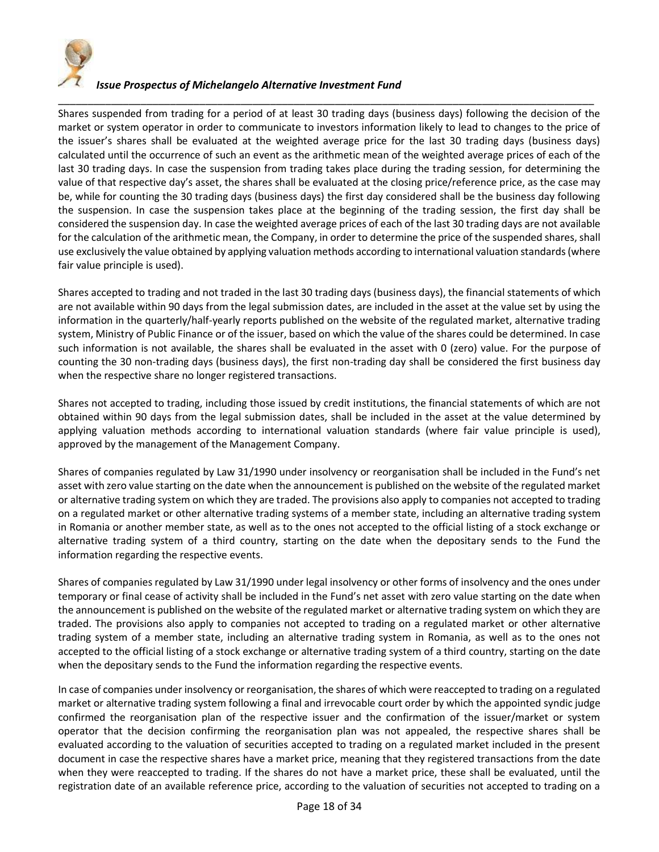

\_\_\_\_\_\_\_\_\_\_\_\_\_\_\_\_\_\_\_\_\_\_\_\_\_\_\_\_\_\_\_\_\_\_\_\_\_\_\_\_\_\_\_\_\_\_\_\_\_\_\_\_\_\_\_\_\_\_\_\_\_\_\_\_\_\_\_\_\_\_\_\_\_\_\_\_\_\_\_\_\_\_\_\_\_\_\_\_\_\_\_ Shares suspended from trading for a period of at least 30 trading days (business days) following the decision of the market or system operator in order to communicate to investors information likely to lead to changes to the price of the issuer's shares shall be evaluated at the weighted average price for the last 30 trading days (business days) calculated until the occurrence of such an event as the arithmetic mean of the weighted average prices of each of the last 30 trading days. In case the suspension from trading takes place during the trading session, for determining the value of that respective day's asset, the shares shall be evaluated at the closing price/reference price, as the case may be, while for counting the 30 trading days (business days) the first day considered shall be the business day following the suspension. In case the suspension takes place at the beginning of the trading session, the first day shall be considered the suspension day. In case the weighted average prices of each of the last 30 trading days are not available for the calculation of the arithmetic mean, the Company, in order to determine the price of the suspended shares, shall use exclusively the value obtained by applying valuation methods according to international valuation standards (where fair value principle is used).

Shares accepted to trading and not traded in the last 30 trading days (business days), the financial statements of which are not available within 90 days from the legal submission dates, are included in the asset at the value set by using the information in the quarterly/half-yearly reports published on the website of the regulated market, alternative trading system, Ministry of Public Finance or of the issuer, based on which the value of the shares could be determined. In case such information is not available, the shares shall be evaluated in the asset with 0 (zero) value. For the purpose of counting the 30 non-trading days (business days), the first non-trading day shall be considered the first business day when the respective share no longer registered transactions.

Shares not accepted to trading, including those issued by credit institutions, the financial statements of which are not obtained within 90 days from the legal submission dates, shall be included in the asset at the value determined by applying valuation methods according to international valuation standards (where fair value principle is used), approved by the management of the Management Company.

Shares of companies regulated by Law 31/1990 under insolvency or reorganisation shall be included in the Fund's net asset with zero value starting on the date when the announcement is published on the website of the regulated market or alternative trading system on which they are traded. The provisions also apply to companies not accepted to trading on a regulated market or other alternative trading systems of a member state, including an alternative trading system in Romania or another member state, as well as to the ones not accepted to the official listing of a stock exchange or alternative trading system of a third country, starting on the date when the depositary sends to the Fund the information regarding the respective events.

Shares of companies regulated by Law 31/1990 under legal insolvency or other forms of insolvency and the ones under temporary or final cease of activity shall be included in the Fund's net asset with zero value starting on the date when the announcement is published on the website of the regulated market or alternative trading system on which they are traded. The provisions also apply to companies not accepted to trading on a regulated market or other alternative trading system of a member state, including an alternative trading system in Romania, as well as to the ones not accepted to the official listing of a stock exchange or alternative trading system of a third country, starting on the date when the depositary sends to the Fund the information regarding the respective events.

In case of companies under insolvency or reorganisation, the shares of which were reaccepted to trading on a regulated market or alternative trading system following a final and irrevocable court order by which the appointed syndic judge confirmed the reorganisation plan of the respective issuer and the confirmation of the issuer/market or system operator that the decision confirming the reorganisation plan was not appealed, the respective shares shall be evaluated according to the valuation of securities accepted to trading on a regulated market included in the present document in case the respective shares have a market price, meaning that they registered transactions from the date when they were reaccepted to trading. If the shares do not have a market price, these shall be evaluated, until the registration date of an available reference price, according to the valuation of securities not accepted to trading on a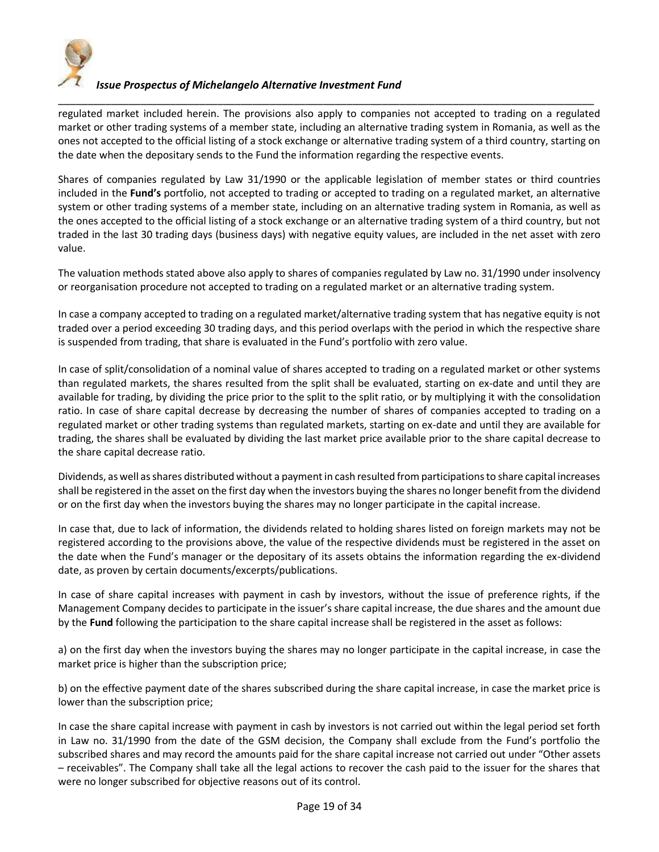

\_\_\_\_\_\_\_\_\_\_\_\_\_\_\_\_\_\_\_\_\_\_\_\_\_\_\_\_\_\_\_\_\_\_\_\_\_\_\_\_\_\_\_\_\_\_\_\_\_\_\_\_\_\_\_\_\_\_\_\_\_\_\_\_\_\_\_\_\_\_\_\_\_\_\_\_\_\_\_\_\_\_\_\_\_\_\_\_\_\_\_ regulated market included herein. The provisions also apply to companies not accepted to trading on a regulated market or other trading systems of a member state, including an alternative trading system in Romania, as well as the ones not accepted to the official listing of a stock exchange or alternative trading system of a third country, starting on the date when the depositary sends to the Fund the information regarding the respective events.

Shares of companies regulated by Law 31/1990 or the applicable legislation of member states or third countries included in the **Fund's** portfolio, not accepted to trading or accepted to trading on a regulated market, an alternative system or other trading systems of a member state, including on an alternative trading system in Romania, as well as the ones accepted to the official listing of a stock exchange or an alternative trading system of a third country, but not traded in the last 30 trading days (business days) with negative equity values, are included in the net asset with zero value.

The valuation methods stated above also apply to shares of companies regulated by Law no. 31/1990 under insolvency or reorganisation procedure not accepted to trading on a regulated market or an alternative trading system.

In case a company accepted to trading on a regulated market/alternative trading system that has negative equity is not traded over a period exceeding 30 trading days, and this period overlaps with the period in which the respective share is suspended from trading, that share is evaluated in the Fund's portfolio with zero value.

In case of split/consolidation of a nominal value of shares accepted to trading on a regulated market or other systems than regulated markets, the shares resulted from the split shall be evaluated, starting on ex-date and until they are available for trading, by dividing the price prior to the split to the split ratio, or by multiplying it with the consolidation ratio. In case of share capital decrease by decreasing the number of shares of companies accepted to trading on a regulated market or other trading systems than regulated markets, starting on ex-date and until they are available for trading, the shares shall be evaluated by dividing the last market price available prior to the share capital decrease to the share capital decrease ratio.

Dividends, as well as shares distributed without a payment in cash resulted from participations to share capital increases shall be registered in the asset on the first day when the investors buying the shares no longer benefit from the dividend or on the first day when the investors buying the shares may no longer participate in the capital increase.

In case that, due to lack of information, the dividends related to holding shares listed on foreign markets may not be registered according to the provisions above, the value of the respective dividends must be registered in the asset on the date when the Fund's manager or the depositary of its assets obtains the information regarding the ex-dividend date, as proven by certain documents/excerpts/publications.

In case of share capital increases with payment in cash by investors, without the issue of preference rights, if the Management Company decides to participate in the issuer's share capital increase, the due shares and the amount due by the **Fund** following the participation to the share capital increase shall be registered in the asset as follows:

a) on the first day when the investors buying the shares may no longer participate in the capital increase, in case the market price is higher than the subscription price;

b) on the effective payment date of the shares subscribed during the share capital increase, in case the market price is lower than the subscription price;

In case the share capital increase with payment in cash by investors is not carried out within the legal period set forth in Law no. 31/1990 from the date of the GSM decision, the Company shall exclude from the Fund's portfolio the subscribed shares and may record the amounts paid for the share capital increase not carried out under "Other assets – receivables". The Company shall take all the legal actions to recover the cash paid to the issuer for the shares that were no longer subscribed for objective reasons out of its control.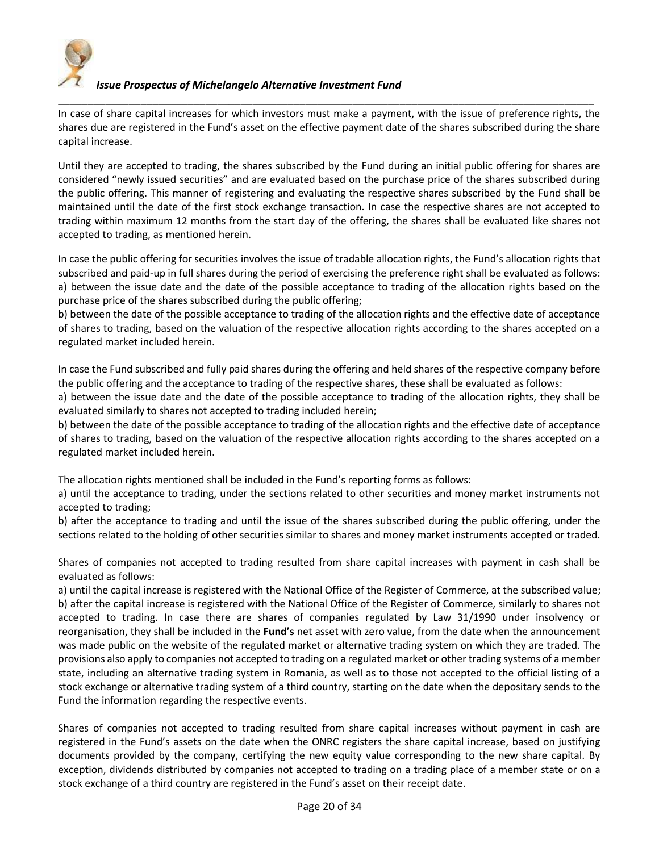

In case of share capital increases for which investors must make a payment, with the issue of preference rights, the shares due are registered in the Fund's asset on the effective payment date of the shares subscribed during the share capital increase.

\_\_\_\_\_\_\_\_\_\_\_\_\_\_\_\_\_\_\_\_\_\_\_\_\_\_\_\_\_\_\_\_\_\_\_\_\_\_\_\_\_\_\_\_\_\_\_\_\_\_\_\_\_\_\_\_\_\_\_\_\_\_\_\_\_\_\_\_\_\_\_\_\_\_\_\_\_\_\_\_\_\_\_\_\_\_\_\_\_\_\_

Until they are accepted to trading, the shares subscribed by the Fund during an initial public offering for shares are considered "newly issued securities" and are evaluated based on the purchase price of the shares subscribed during the public offering. This manner of registering and evaluating the respective shares subscribed by the Fund shall be maintained until the date of the first stock exchange transaction. In case the respective shares are not accepted to trading within maximum 12 months from the start day of the offering, the shares shall be evaluated like shares not accepted to trading, as mentioned herein.

In case the public offering for securities involves the issue of tradable allocation rights, the Fund's allocation rights that subscribed and paid-up in full shares during the period of exercising the preference right shall be evaluated as follows: a) between the issue date and the date of the possible acceptance to trading of the allocation rights based on the purchase price of the shares subscribed during the public offering;

b) between the date of the possible acceptance to trading of the allocation rights and the effective date of acceptance of shares to trading, based on the valuation of the respective allocation rights according to the shares accepted on a regulated market included herein.

In case the Fund subscribed and fully paid shares during the offering and held shares of the respective company before the public offering and the acceptance to trading of the respective shares, these shall be evaluated as follows:

a) between the issue date and the date of the possible acceptance to trading of the allocation rights, they shall be evaluated similarly to shares not accepted to trading included herein;

b) between the date of the possible acceptance to trading of the allocation rights and the effective date of acceptance of shares to trading, based on the valuation of the respective allocation rights according to the shares accepted on a regulated market included herein.

The allocation rights mentioned shall be included in the Fund's reporting forms as follows:

a) until the acceptance to trading, under the sections related to other securities and money market instruments not accepted to trading;

b) after the acceptance to trading and until the issue of the shares subscribed during the public offering, under the sections related to the holding of other securities similar to shares and money market instruments accepted or traded.

Shares of companies not accepted to trading resulted from share capital increases with payment in cash shall be evaluated as follows:

a) until the capital increase is registered with the National Office of the Register of Commerce, at the subscribed value; b) after the capital increase is registered with the National Office of the Register of Commerce, similarly to shares not accepted to trading. In case there are shares of companies regulated by Law 31/1990 under insolvency or reorganisation, they shall be included in the **Fund's** net asset with zero value, from the date when the announcement was made public on the website of the regulated market or alternative trading system on which they are traded. The provisions also apply to companies not accepted to trading on a regulated market or other trading systems of a member state, including an alternative trading system in Romania, as well as to those not accepted to the official listing of a stock exchange or alternative trading system of a third country, starting on the date when the depositary sends to the Fund the information regarding the respective events.

Shares of companies not accepted to trading resulted from share capital increases without payment in cash are registered in the Fund's assets on the date when the ONRC registers the share capital increase, based on justifying documents provided by the company, certifying the new equity value corresponding to the new share capital. By exception, dividends distributed by companies not accepted to trading on a trading place of a member state or on a stock exchange of a third country are registered in the Fund's asset on their receipt date.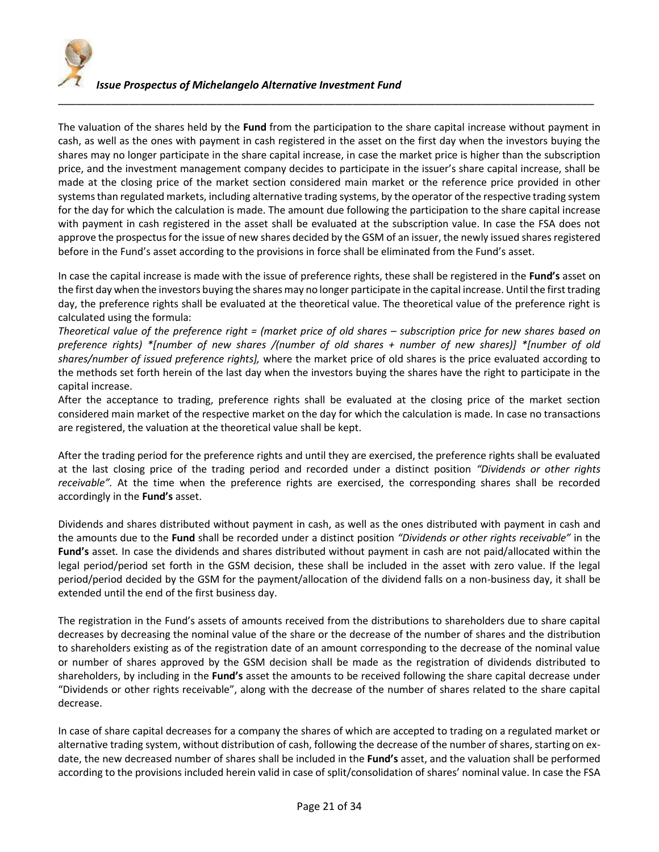

The valuation of the shares held by the **Fund** from the participation to the share capital increase without payment in cash, as well as the ones with payment in cash registered in the asset on the first day when the investors buying the shares may no longer participate in the share capital increase, in case the market price is higher than the subscription price, and the investment management company decides to participate in the issuer's share capital increase, shall be made at the closing price of the market section considered main market or the reference price provided in other systems than regulated markets, including alternative trading systems, by the operator of the respective trading system for the day for which the calculation is made. The amount due following the participation to the share capital increase with payment in cash registered in the asset shall be evaluated at the subscription value. In case the FSA does not approve the prospectus for the issue of new shares decided by the GSM of an issuer, the newly issued shares registered before in the Fund's asset according to the provisions in force shall be eliminated from the Fund's asset.

\_\_\_\_\_\_\_\_\_\_\_\_\_\_\_\_\_\_\_\_\_\_\_\_\_\_\_\_\_\_\_\_\_\_\_\_\_\_\_\_\_\_\_\_\_\_\_\_\_\_\_\_\_\_\_\_\_\_\_\_\_\_\_\_\_\_\_\_\_\_\_\_\_\_\_\_\_\_\_\_\_\_\_\_\_\_\_\_\_\_\_

In case the capital increase is made with the issue of preference rights, these shall be registered in the **Fund's** asset on the first day when the investors buying the shares may no longer participate in the capital increase. Until the first trading day, the preference rights shall be evaluated at the theoretical value. The theoretical value of the preference right is calculated using the formula:

*Theoretical value of the preference right = (market price of old shares – subscription price for new shares based on preference rights) \*[number of new shares /(number of old shares + number of new shares)] \*[number of old shares/number of issued preference rights],* where the market price of old shares is the price evaluated according to the methods set forth herein of the last day when the investors buying the shares have the right to participate in the capital increase.

After the acceptance to trading, preference rights shall be evaluated at the closing price of the market section considered main market of the respective market on the day for which the calculation is made. In case no transactions are registered, the valuation at the theoretical value shall be kept.

After the trading period for the preference rights and until they are exercised, the preference rights shall be evaluated at the last closing price of the trading period and recorded under a distinct position *"Dividends or other rights receivable".* At the time when the preference rights are exercised, the corresponding shares shall be recorded accordingly in the **Fund's** asset.

Dividends and shares distributed without payment in cash, as well as the ones distributed with payment in cash and the amounts due to the **Fund** shall be recorded under a distinct position *"Dividends or other rights receivable"* in the **Fund's** asset*.* In case the dividends and shares distributed without payment in cash are not paid/allocated within the legal period/period set forth in the GSM decision, these shall be included in the asset with zero value. If the legal period/period decided by the GSM for the payment/allocation of the dividend falls on a non-business day, it shall be extended until the end of the first business day.

The registration in the Fund's assets of amounts received from the distributions to shareholders due to share capital decreases by decreasing the nominal value of the share or the decrease of the number of shares and the distribution to shareholders existing as of the registration date of an amount corresponding to the decrease of the nominal value or number of shares approved by the GSM decision shall be made as the registration of dividends distributed to shareholders, by including in the **Fund's** asset the amounts to be received following the share capital decrease under "Dividends or other rights receivable", along with the decrease of the number of shares related to the share capital decrease.

In case of share capital decreases for a company the shares of which are accepted to trading on a regulated market or alternative trading system, without distribution of cash, following the decrease of the number of shares, starting on exdate, the new decreased number of shares shall be included in the **Fund's** asset, and the valuation shall be performed according to the provisions included herein valid in case of split/consolidation of shares' nominal value. In case the FSA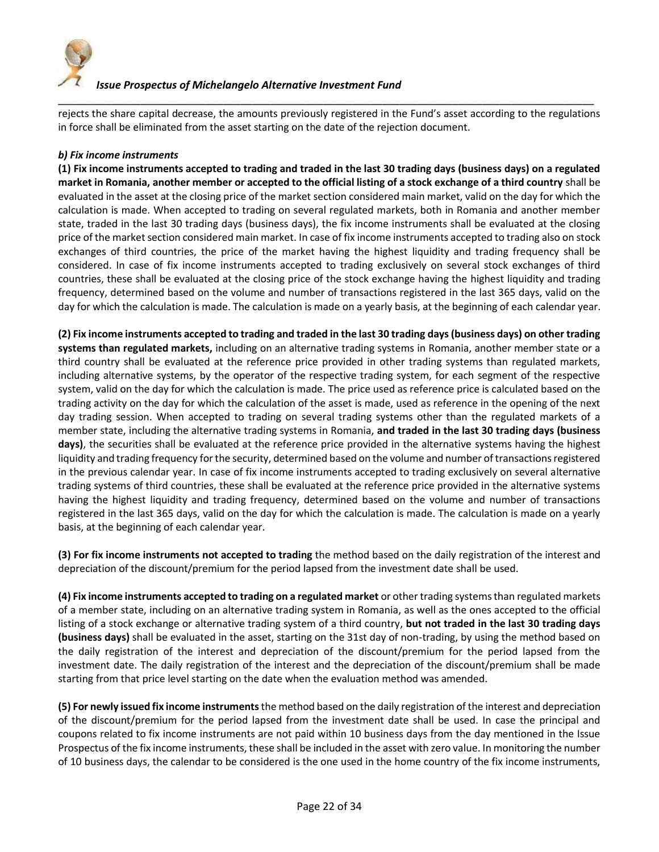

\_\_\_\_\_\_\_\_\_\_\_\_\_\_\_\_\_\_\_\_\_\_\_\_\_\_\_\_\_\_\_\_\_\_\_\_\_\_\_\_\_\_\_\_\_\_\_\_\_\_\_\_\_\_\_\_\_\_\_\_\_\_\_\_\_\_\_\_\_\_\_\_\_\_\_\_\_\_\_\_\_\_\_\_\_\_\_\_\_\_\_ rejects the share capital decrease, the amounts previously registered in the Fund's asset according to the regulations in force shall be eliminated from the asset starting on the date of the rejection document.

## *b) Fix income instruments*

**(1) Fix income instruments accepted to trading and traded in the last 30 trading days (business days) on a regulated market in Romania, another member or accepted to the official listing of a stock exchange of a third country** shall be evaluated in the asset at the closing price of the market section considered main market, valid on the day for which the calculation is made. When accepted to trading on several regulated markets, both in Romania and another member state, traded in the last 30 trading days (business days), the fix income instruments shall be evaluated at the closing price of the market section considered main market. In case of fix income instruments accepted to trading also on stock exchanges of third countries, the price of the market having the highest liquidity and trading frequency shall be considered. In case of fix income instruments accepted to trading exclusively on several stock exchanges of third countries, these shall be evaluated at the closing price of the stock exchange having the highest liquidity and trading frequency, determined based on the volume and number of transactions registered in the last 365 days, valid on the day for which the calculation is made. The calculation is made on a yearly basis, at the beginning of each calendar year.

**(2) Fix income instruments accepted to trading and traded in the last 30 trading days (business days) on other trading systems than regulated markets,** including on an alternative trading systems in Romania, another member state or a third country shall be evaluated at the reference price provided in other trading systems than regulated markets, including alternative systems, by the operator of the respective trading system, for each segment of the respective system, valid on the day for which the calculation is made. The price used as reference price is calculated based on the trading activity on the day for which the calculation of the asset is made, used as reference in the opening of the next day trading session. When accepted to trading on several trading systems other than the regulated markets of a member state, including the alternative trading systems in Romania, **and traded in the last 30 trading days (business days)**, the securities shall be evaluated at the reference price provided in the alternative systems having the highest liquidity and trading frequency for the security, determined based on the volume and number of transactions registered in the previous calendar year. In case of fix income instruments accepted to trading exclusively on several alternative trading systems of third countries, these shall be evaluated at the reference price provided in the alternative systems having the highest liquidity and trading frequency, determined based on the volume and number of transactions registered in the last 365 days, valid on the day for which the calculation is made. The calculation is made on a yearly basis, at the beginning of each calendar year.

**(3) For fix income instruments not accepted to trading** the method based on the daily registration of the interest and depreciation of the discount/premium for the period lapsed from the investment date shall be used.

**(4) Fix income instruments accepted to trading on a regulated market** or other trading systems than regulated markets of a member state, including on an alternative trading system in Romania, as well as the ones accepted to the official listing of a stock exchange or alternative trading system of a third country, **but not traded in the last 30 trading days (business days)** shall be evaluated in the asset, starting on the 31st day of non-trading, by using the method based on the daily registration of the interest and depreciation of the discount/premium for the period lapsed from the investment date. The daily registration of the interest and the depreciation of the discount/premium shall be made starting from that price level starting on the date when the evaluation method was amended.

**(5) For newly issued fix income instruments** the method based on the daily registration of the interest and depreciation of the discount/premium for the period lapsed from the investment date shall be used. In case the principal and coupons related to fix income instruments are not paid within 10 business days from the day mentioned in the Issue Prospectus of the fix income instruments, these shall be included in the asset with zero value. In monitoring the number of 10 business days, the calendar to be considered is the one used in the home country of the fix income instruments,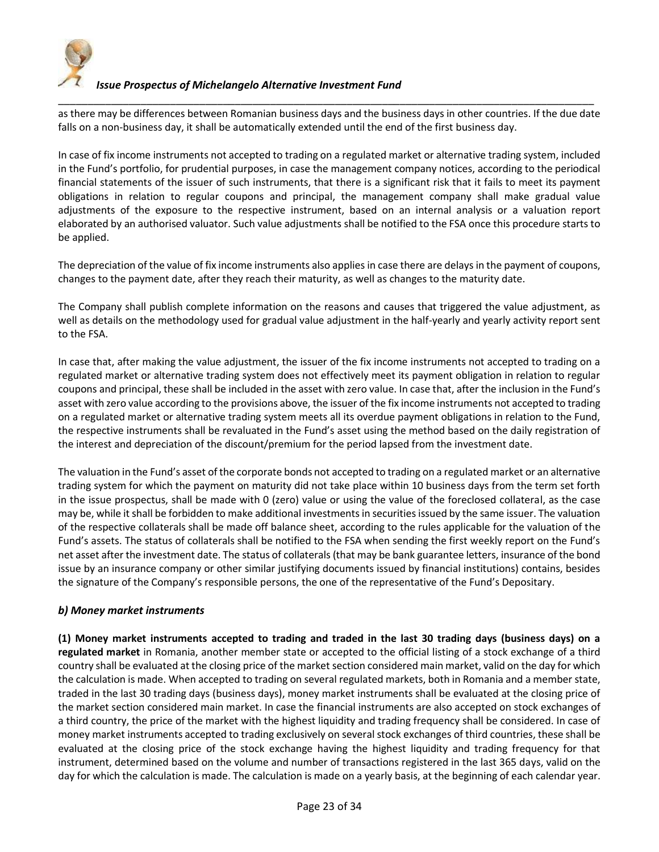

\_\_\_\_\_\_\_\_\_\_\_\_\_\_\_\_\_\_\_\_\_\_\_\_\_\_\_\_\_\_\_\_\_\_\_\_\_\_\_\_\_\_\_\_\_\_\_\_\_\_\_\_\_\_\_\_\_\_\_\_\_\_\_\_\_\_\_\_\_\_\_\_\_\_\_\_\_\_\_\_\_\_\_\_\_\_\_\_\_\_\_ as there may be differences between Romanian business days and the business days in other countries. If the due date falls on a non-business day, it shall be automatically extended until the end of the first business day.

In case of fix income instruments not accepted to trading on a regulated market or alternative trading system, included in the Fund's portfolio, for prudential purposes, in case the management company notices, according to the periodical financial statements of the issuer of such instruments, that there is a significant risk that it fails to meet its payment obligations in relation to regular coupons and principal, the management company shall make gradual value adjustments of the exposure to the respective instrument, based on an internal analysis or a valuation report elaborated by an authorised valuator. Such value adjustments shall be notified to the FSA once this procedure starts to be applied.

The depreciation of the value of fix income instruments also applies in case there are delays in the payment of coupons, changes to the payment date, after they reach their maturity, as well as changes to the maturity date.

The Company shall publish complete information on the reasons and causes that triggered the value adjustment, as well as details on the methodology used for gradual value adjustment in the half-yearly and yearly activity report sent to the FSA.

In case that, after making the value adjustment, the issuer of the fix income instruments not accepted to trading on a regulated market or alternative trading system does not effectively meet its payment obligation in relation to regular coupons and principal, these shall be included in the asset with zero value. In case that, after the inclusion in the Fund's asset with zero value according to the provisions above, the issuer of the fix income instruments not accepted to trading on a regulated market or alternative trading system meets all its overdue payment obligations in relation to the Fund, the respective instruments shall be revaluated in the Fund's asset using the method based on the daily registration of the interest and depreciation of the discount/premium for the period lapsed from the investment date.

The valuation in the Fund's asset of the corporate bonds not accepted to trading on a regulated market or an alternative trading system for which the payment on maturity did not take place within 10 business days from the term set forth in the issue prospectus, shall be made with 0 (zero) value or using the value of the foreclosed collateral, as the case may be, while it shall be forbidden to make additional investments in securities issued by the same issuer. The valuation of the respective collaterals shall be made off balance sheet, according to the rules applicable for the valuation of the Fund's assets. The status of collaterals shall be notified to the FSA when sending the first weekly report on the Fund's net asset after the investment date. The status of collaterals (that may be bank guarantee letters, insurance of the bond issue by an insurance company or other similar justifying documents issued by financial institutions) contains, besides the signature of the Company's responsible persons, the one of the representative of the Fund's Depositary.

## *b) Money market instruments*

**(1) Money market instruments accepted to trading and traded in the last 30 trading days (business days) on a regulated market** in Romania, another member state or accepted to the official listing of a stock exchange of a third country shall be evaluated at the closing price of the market section considered main market, valid on the day for which the calculation is made. When accepted to trading on several regulated markets, both in Romania and a member state, traded in the last 30 trading days (business days), money market instruments shall be evaluated at the closing price of the market section considered main market. In case the financial instruments are also accepted on stock exchanges of a third country, the price of the market with the highest liquidity and trading frequency shall be considered. In case of money market instruments accepted to trading exclusively on several stock exchanges of third countries, these shall be evaluated at the closing price of the stock exchange having the highest liquidity and trading frequency for that instrument, determined based on the volume and number of transactions registered in the last 365 days, valid on the day for which the calculation is made. The calculation is made on a yearly basis, at the beginning of each calendar year.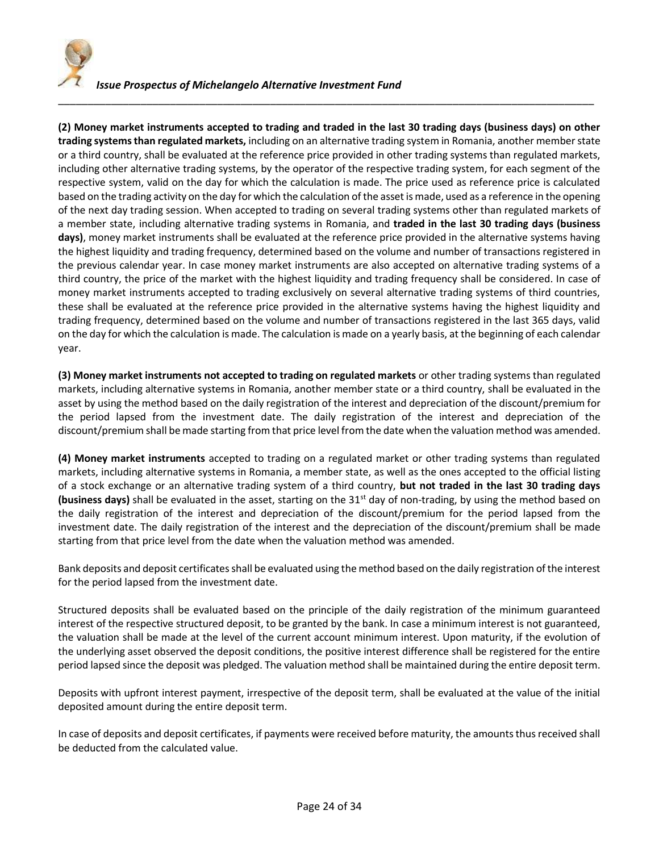

**(2) Money market instruments accepted to trading and traded in the last 30 trading days (business days) on other trading systems than regulated markets,** including on an alternative trading system in Romania, another member state or a third country, shall be evaluated at the reference price provided in other trading systems than regulated markets, including other alternative trading systems, by the operator of the respective trading system, for each segment of the respective system, valid on the day for which the calculation is made. The price used as reference price is calculated based on the trading activity on the day for which the calculation of the asset is made, used as a reference in the opening of the next day trading session. When accepted to trading on several trading systems other than regulated markets of a member state, including alternative trading systems in Romania, and **traded in the last 30 trading days (business days)**, money market instruments shall be evaluated at the reference price provided in the alternative systems having the highest liquidity and trading frequency, determined based on the volume and number of transactions registered in the previous calendar year. In case money market instruments are also accepted on alternative trading systems of a third country, the price of the market with the highest liquidity and trading frequency shall be considered. In case of money market instruments accepted to trading exclusively on several alternative trading systems of third countries, these shall be evaluated at the reference price provided in the alternative systems having the highest liquidity and trading frequency, determined based on the volume and number of transactions registered in the last 365 days, valid on the day for which the calculation is made. The calculation is made on a yearly basis, at the beginning of each calendar year.

\_\_\_\_\_\_\_\_\_\_\_\_\_\_\_\_\_\_\_\_\_\_\_\_\_\_\_\_\_\_\_\_\_\_\_\_\_\_\_\_\_\_\_\_\_\_\_\_\_\_\_\_\_\_\_\_\_\_\_\_\_\_\_\_\_\_\_\_\_\_\_\_\_\_\_\_\_\_\_\_\_\_\_\_\_\_\_\_\_\_\_

**(3) Money market instruments not accepted to trading on regulated markets** or other trading systems than regulated markets, including alternative systems in Romania, another member state or a third country, shall be evaluated in the asset by using the method based on the daily registration of the interest and depreciation of the discount/premium for the period lapsed from the investment date. The daily registration of the interest and depreciation of the discount/premium shall be made starting from that price level from the date when the valuation method was amended.

**(4) Money market instruments** accepted to trading on a regulated market or other trading systems than regulated markets, including alternative systems in Romania, a member state, as well as the ones accepted to the official listing of a stock exchange or an alternative trading system of a third country, **but not traded in the last 30 trading days (business days)** shall be evaluated in the asset, starting on the 31st day of non-trading, by using the method based on the daily registration of the interest and depreciation of the discount/premium for the period lapsed from the investment date. The daily registration of the interest and the depreciation of the discount/premium shall be made starting from that price level from the date when the valuation method was amended.

Bank deposits and deposit certificates shall be evaluated using the method based on the daily registration of the interest for the period lapsed from the investment date.

Structured deposits shall be evaluated based on the principle of the daily registration of the minimum guaranteed interest of the respective structured deposit, to be granted by the bank. In case a minimum interest is not guaranteed, the valuation shall be made at the level of the current account minimum interest. Upon maturity, if the evolution of the underlying asset observed the deposit conditions, the positive interest difference shall be registered for the entire period lapsed since the deposit was pledged. The valuation method shall be maintained during the entire deposit term.

Deposits with upfront interest payment, irrespective of the deposit term, shall be evaluated at the value of the initial deposited amount during the entire deposit term.

In case of deposits and deposit certificates, if payments were received before maturity, the amounts thus received shall be deducted from the calculated value.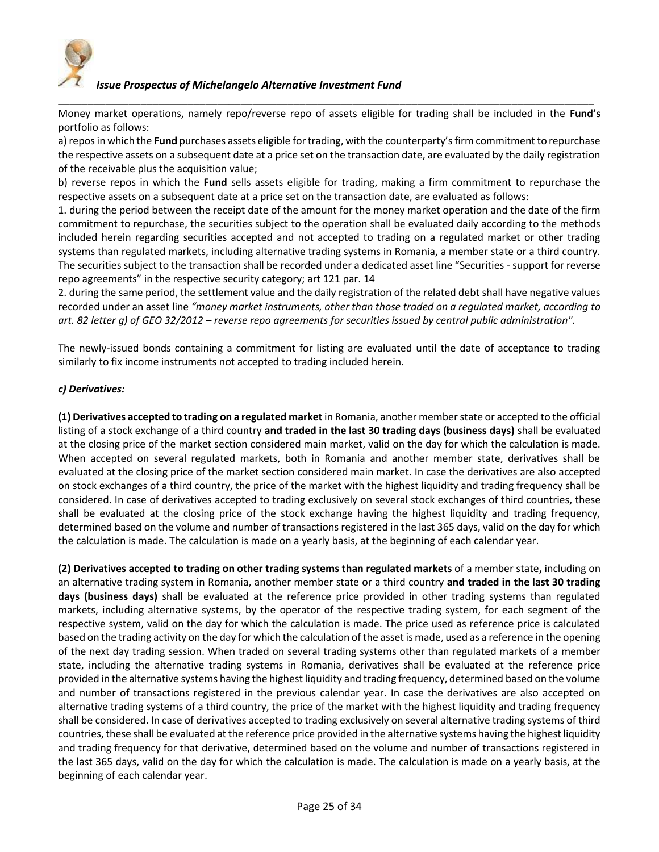

Money market operations, namely repo/reverse repo of assets eligible for trading shall be included in the **Fund's** portfolio as follows:

\_\_\_\_\_\_\_\_\_\_\_\_\_\_\_\_\_\_\_\_\_\_\_\_\_\_\_\_\_\_\_\_\_\_\_\_\_\_\_\_\_\_\_\_\_\_\_\_\_\_\_\_\_\_\_\_\_\_\_\_\_\_\_\_\_\_\_\_\_\_\_\_\_\_\_\_\_\_\_\_\_\_\_\_\_\_\_\_\_\_\_

a) repos in which the **Fund** purchases assets eligible for trading, with the counterparty's firm commitment to repurchase the respective assets on a subsequent date at a price set on the transaction date, are evaluated by the daily registration of the receivable plus the acquisition value;

b) reverse repos in which the **Fund** sells assets eligible for trading, making a firm commitment to repurchase the respective assets on a subsequent date at a price set on the transaction date, are evaluated as follows:

1. during the period between the receipt date of the amount for the money market operation and the date of the firm commitment to repurchase, the securities subject to the operation shall be evaluated daily according to the methods included herein regarding securities accepted and not accepted to trading on a regulated market or other trading systems than regulated markets, including alternative trading systems in Romania, a member state or a third country. The securities subject to the transaction shall be recorded under a dedicated asset line "Securities - support for reverse repo agreements" in the respective security category; art 121 par. 14

2. during the same period, the settlement value and the daily registration of the related debt shall have negative values recorded under an asset line *"money market instruments, other than those traded on a regulated market, according to art. 82 letter g) of GEO 32/2012 – reverse repo agreements for securities issued by central public administration"*.

The newly-issued bonds containing a commitment for listing are evaluated until the date of acceptance to trading similarly to fix income instruments not accepted to trading included herein.

## *c) Derivatives:*

**(1) Derivatives accepted to trading on a regulated market** in Romania, another member state or accepted to the official listing of a stock exchange of a third country **and traded in the last 30 trading days (business days)** shall be evaluated at the closing price of the market section considered main market, valid on the day for which the calculation is made. When accepted on several regulated markets, both in Romania and another member state, derivatives shall be evaluated at the closing price of the market section considered main market. In case the derivatives are also accepted on stock exchanges of a third country, the price of the market with the highest liquidity and trading frequency shall be considered. In case of derivatives accepted to trading exclusively on several stock exchanges of third countries, these shall be evaluated at the closing price of the stock exchange having the highest liquidity and trading frequency, determined based on the volume and number of transactions registered in the last 365 days, valid on the day for which the calculation is made. The calculation is made on a yearly basis, at the beginning of each calendar year.

**(2) Derivatives accepted to trading on other trading systems than regulated markets** of a member state**,** including on an alternative trading system in Romania, another member state or a third country **and traded in the last 30 trading days (business days)** shall be evaluated at the reference price provided in other trading systems than regulated markets, including alternative systems, by the operator of the respective trading system, for each segment of the respective system, valid on the day for which the calculation is made. The price used as reference price is calculated based on the trading activity on the day for which the calculation of the asset is made, used as a reference in the opening of the next day trading session. When traded on several trading systems other than regulated markets of a member state, including the alternative trading systems in Romania, derivatives shall be evaluated at the reference price provided in the alternative systems having the highest liquidity and trading frequency, determined based on the volume and number of transactions registered in the previous calendar year. In case the derivatives are also accepted on alternative trading systems of a third country, the price of the market with the highest liquidity and trading frequency shall be considered. In case of derivatives accepted to trading exclusively on several alternative trading systems of third countries, these shall be evaluated at the reference price provided in the alternative systems having the highest liquidity and trading frequency for that derivative, determined based on the volume and number of transactions registered in the last 365 days, valid on the day for which the calculation is made. The calculation is made on a yearly basis, at the beginning of each calendar year.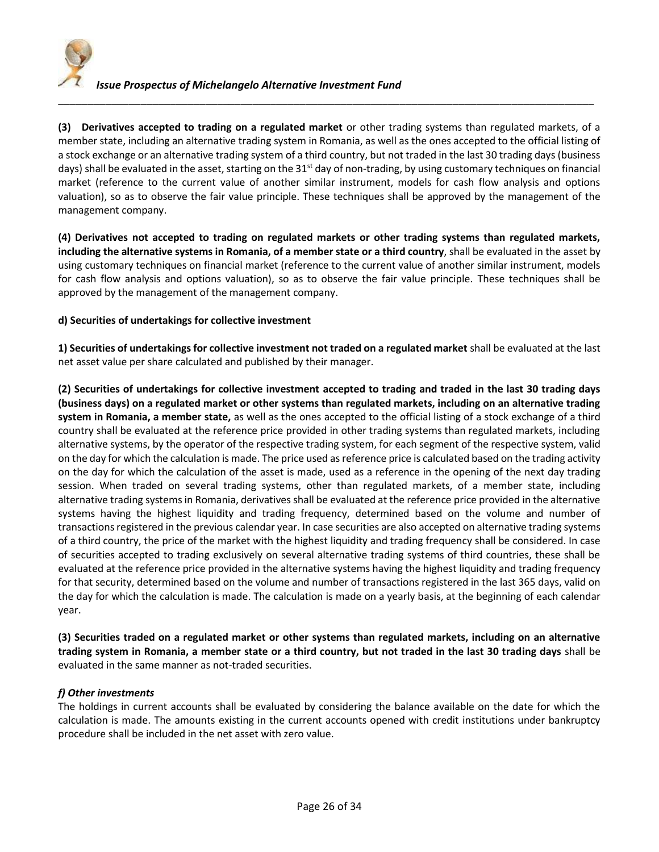

**(3) Derivatives accepted to trading on a regulated market** or other trading systems than regulated markets, of a member state, including an alternative trading system in Romania, as well as the ones accepted to the official listing of a stock exchange or an alternative trading system of a third country, but not traded in the last 30 trading days (business days) shall be evaluated in the asset, starting on the 31<sup>st</sup> day of non-trading, by using customary techniques on financial market (reference to the current value of another similar instrument, models for cash flow analysis and options valuation), so as to observe the fair value principle. These techniques shall be approved by the management of the management company.

\_\_\_\_\_\_\_\_\_\_\_\_\_\_\_\_\_\_\_\_\_\_\_\_\_\_\_\_\_\_\_\_\_\_\_\_\_\_\_\_\_\_\_\_\_\_\_\_\_\_\_\_\_\_\_\_\_\_\_\_\_\_\_\_\_\_\_\_\_\_\_\_\_\_\_\_\_\_\_\_\_\_\_\_\_\_\_\_\_\_\_

**(4) Derivatives not accepted to trading on regulated markets or other trading systems than regulated markets, including the alternative systems in Romania, of a member state or a third country**, shall be evaluated in the asset by using customary techniques on financial market (reference to the current value of another similar instrument, models for cash flow analysis and options valuation), so as to observe the fair value principle. These techniques shall be approved by the management of the management company.

#### **d) Securities of undertakings for collective investment**

**1) Securities of undertakings for collective investment not traded on a regulated market** shall be evaluated at the last net asset value per share calculated and published by their manager.

**(2) Securities of undertakings for collective investment accepted to trading and traded in the last 30 trading days (business days) on a regulated market or other systems than regulated markets, including on an alternative trading system in Romania, a member state,** as well as the ones accepted to the official listing of a stock exchange of a third country shall be evaluated at the reference price provided in other trading systems than regulated markets, including alternative systems, by the operator of the respective trading system, for each segment of the respective system, valid on the day for which the calculation is made. The price used as reference price is calculated based on the trading activity on the day for which the calculation of the asset is made, used as a reference in the opening of the next day trading session. When traded on several trading systems, other than regulated markets, of a member state, including alternative trading systems in Romania, derivatives shall be evaluated at the reference price provided in the alternative systems having the highest liquidity and trading frequency, determined based on the volume and number of transactions registered in the previous calendar year. In case securities are also accepted on alternative trading systems of a third country, the price of the market with the highest liquidity and trading frequency shall be considered. In case of securities accepted to trading exclusively on several alternative trading systems of third countries, these shall be evaluated at the reference price provided in the alternative systems having the highest liquidity and trading frequency for that security, determined based on the volume and number of transactions registered in the last 365 days, valid on the day for which the calculation is made. The calculation is made on a yearly basis, at the beginning of each calendar year.

**(3) Securities traded on a regulated market or other systems than regulated markets, including on an alternative trading system in Romania, a member state or a third country, but not traded in the last 30 trading days** shall be evaluated in the same manner as not-traded securities.

## *f) Other investments*

The holdings in current accounts shall be evaluated by considering the balance available on the date for which the calculation is made. The amounts existing in the current accounts opened with credit institutions under bankruptcy procedure shall be included in the net asset with zero value.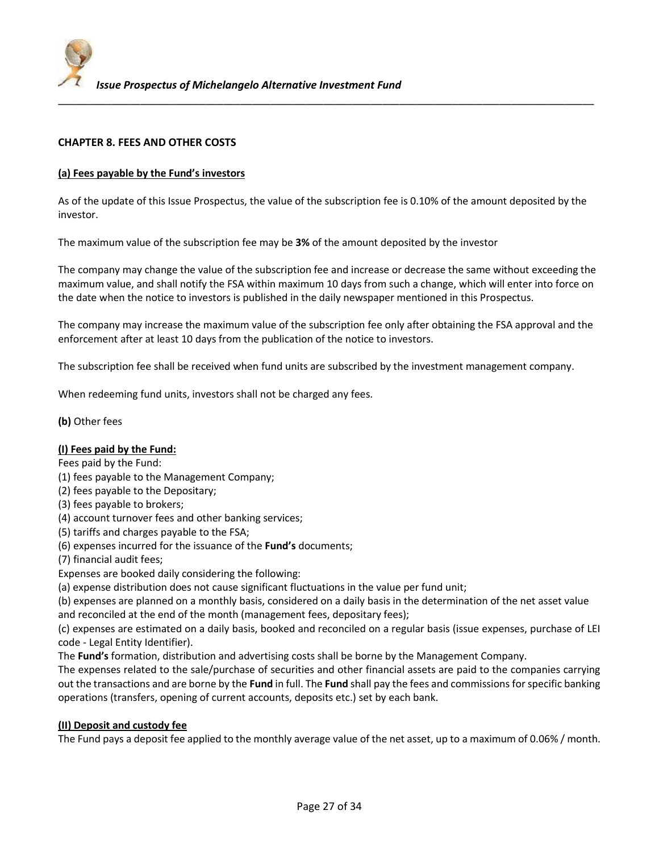

## **CHAPTER 8. FEES AND OTHER COSTS**

#### **(a) Fees payable by the Fund's investors**

As of the update of this Issue Prospectus, the value of the subscription fee is 0.10% of the amount deposited by the investor.

The maximum value of the subscription fee may be **3%** of the amount deposited by the investor

The company may change the value of the subscription fee and increase or decrease the same without exceeding the maximum value, and shall notify the FSA within maximum 10 days from such a change, which will enter into force on the date when the notice to investors is published in the daily newspaper mentioned in this Prospectus.

The company may increase the maximum value of the subscription fee only after obtaining the FSA approval and the enforcement after at least 10 days from the publication of the notice to investors.

The subscription fee shall be received when fund units are subscribed by the investment management company.

When redeeming fund units, investors shall not be charged any fees.

**(b)** Other fees

#### **(I) Fees paid by the Fund:**

Fees paid by the Fund:

- (1) fees payable to the Management Company;
- (2) fees payable to the Depositary;
- (3) fees payable to brokers;
- (4) account turnover fees and other banking services;
- (5) tariffs and charges payable to the FSA;
- (6) expenses incurred for the issuance of the **Fund's** documents;
- (7) financial audit fees;
- Expenses are booked daily considering the following:
- (a) expense distribution does not cause significant fluctuations in the value per fund unit;

(b) expenses are planned on a monthly basis, considered on a daily basis in the determination of the net asset value and reconciled at the end of the month (management fees, depositary fees);

(c) expenses are estimated on a daily basis, booked and reconciled on a regular basis (issue expenses, purchase of LEI code - Legal Entity Identifier).

The **Fund's** formation, distribution and advertising costs shall be borne by the Management Company.

The expenses related to the sale/purchase of securities and other financial assets are paid to the companies carrying out the transactions and are borne by the **Fund** in full. The **Fund** shall pay the fees and commissions for specific banking operations (transfers, opening of current accounts, deposits etc.) set by each bank.

#### **(II) Deposit and custody fee**

The Fund pays a deposit fee applied to the monthly average value of the net asset, up to a maximum of 0.06% / month.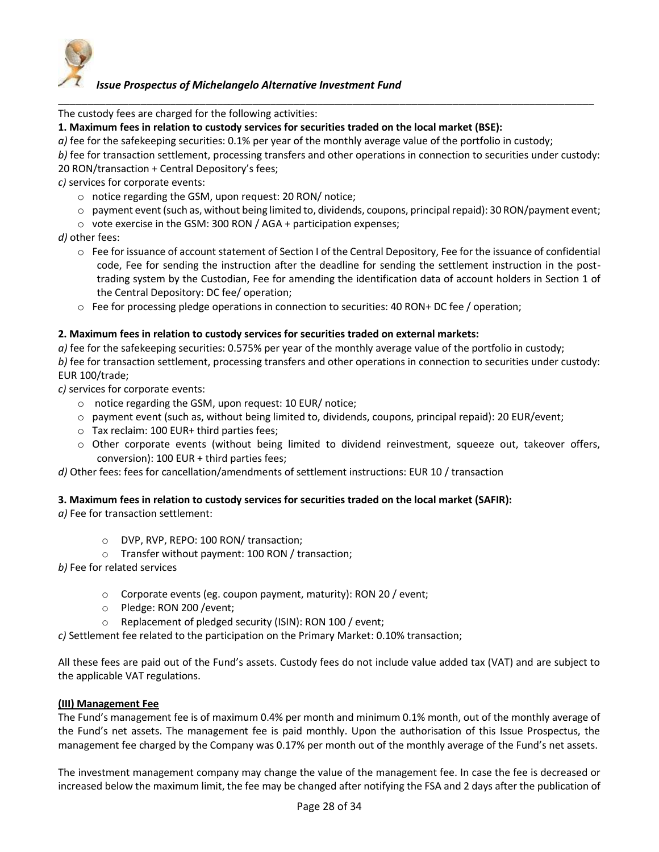

The custody fees are charged for the following activities:

**1. Maximum fees in relation to custody services for securities traded on the local market (BSE):**

*a)* fee for the safekeeping securities: 0.1% per year of the monthly average value of the portfolio in custody;

*b)* fee for transaction settlement, processing transfers and other operations in connection to securities under custody: 20 RON/transaction + Central Depository's fees;

\_\_\_\_\_\_\_\_\_\_\_\_\_\_\_\_\_\_\_\_\_\_\_\_\_\_\_\_\_\_\_\_\_\_\_\_\_\_\_\_\_\_\_\_\_\_\_\_\_\_\_\_\_\_\_\_\_\_\_\_\_\_\_\_\_\_\_\_\_\_\_\_\_\_\_\_\_\_\_\_\_\_\_\_\_\_\_\_\_\_\_

*c)* services for corporate events:

- o notice regarding the GSM, upon request: 20 RON/ notice;
- $\circ$  payment event (such as, without being limited to, dividends, coupons, principal repaid): 30 RON/payment event;
- o vote exercise in the GSM: 300 RON / AGA + participation expenses;

*d)* other fees:

- $\circ$  Fee for issuance of account statement of Section I of the Central Depository, Fee for the issuance of confidential code, Fee for sending the instruction after the deadline for sending the settlement instruction in the posttrading system by the Custodian, Fee for amending the identification data of account holders in Section 1 of the Central Depository: DC fee/ operation;
- o Fee for processing pledge operations in connection to securities: 40 RON+ DC fee / operation;

#### **2. Maximum fees in relation to custody services for securities traded on external markets:**

*a)* fee for the safekeeping securities: 0.575% per year of the monthly average value of the portfolio in custody; *b)* fee for transaction settlement, processing transfers and other operations in connection to securities under custody: EUR 100/trade;

*c)* services for corporate events:

- o notice regarding the GSM, upon request: 10 EUR/ notice;
- $\circ$  payment event (such as, without being limited to, dividends, coupons, principal repaid): 20 EUR/event;
- o Tax reclaim: 100 EUR+ third parties fees;
- o Other corporate events (without being limited to dividend reinvestment, squeeze out, takeover offers, conversion): 100 EUR + third parties fees;

*d)* Other fees: fees for cancellation/amendments of settlement instructions: EUR 10 / transaction

#### **3. Maximum fees in relation to custody services for securities traded on the local market (SAFIR):**

*a)* Fee for transaction settlement:

- o DVP, RVP, REPO: 100 RON/ transaction;
- o Transfer without payment: 100 RON / transaction;

*b)* Fee for related services

- o Corporate events (eg. coupon payment, maturity): RON 20 / event;
- o Pledge: RON 200 /event;
- o Replacement of pledged security (ISIN): RON 100 / event;

*c)* Settlement fee related to the participation on the Primary Market: 0.10% transaction;

All these fees are paid out of the Fund's assets. Custody fees do not include value added tax (VAT) and are subject to the applicable VAT regulations.

#### **(III) Management Fee**

The Fund's management fee is of maximum 0.4% per month and minimum 0.1% month, out of the monthly average of the Fund's net assets. The management fee is paid monthly. Upon the authorisation of this Issue Prospectus, the management fee charged by the Company was 0.17% per month out of the monthly average of the Fund's net assets.

The investment management company may change the value of the management fee. In case the fee is decreased or increased below the maximum limit, the fee may be changed after notifying the FSA and 2 days after the publication of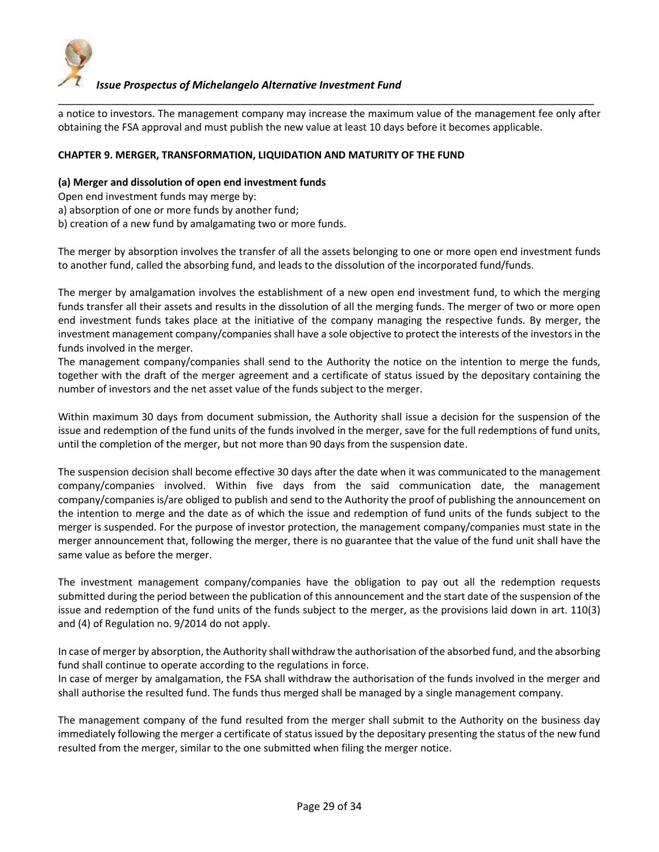

\_\_\_\_\_\_\_\_\_\_\_\_\_\_\_\_\_\_\_\_\_\_\_\_\_\_\_\_\_\_\_\_\_\_\_\_\_\_\_\_\_\_\_\_\_\_\_\_\_\_\_\_\_\_\_\_\_\_\_\_\_\_\_\_\_\_\_\_\_\_\_\_\_\_\_\_\_\_\_\_\_\_\_\_\_\_\_\_\_\_\_ a notice to investors. The management company may increase the maximum value of the management fee only after obtaining the FSA approval and must publish the new value at least 10 days before it becomes applicable.

## **CHAPTER 9. MERGER, TRANSFORMATION, LIQUIDATION AND MATURITY OF THE FUND**

#### **(a) Merger and dissolution of open end investment funds**

Open end investment funds may merge by:

a) absorption of one or more funds by another fund;

b) creation of a new fund by amalgamating two or more funds.

The merger by absorption involves the transfer of all the assets belonging to one or more open end investment funds to another fund, called the absorbing fund, and leads to the dissolution of the incorporated fund/funds.

The merger by amalgamation involves the establishment of a new open end investment fund, to which the merging funds transfer all their assets and results in the dissolution of all the merging funds. The merger of two or more open end investment funds takes place at the initiative of the company managing the respective funds. By merger, the investment management company/companies shall have a sole objective to protect the interests of the investors in the funds involved in the merger.

The management company/companies shall send to the Authority the notice on the intention to merge the funds, together with the draft of the merger agreement and a certificate of status issued by the depositary containing the number of investors and the net asset value of the funds subject to the merger.

Within maximum 30 days from document submission, the Authority shall issue a decision for the suspension of the issue and redemption of the fund units of the funds involved in the merger, save for the full redemptions of fund units, until the completion of the merger, but not more than 90 days from the suspension date.

The suspension decision shall become effective 30 days after the date when it was communicated to the management company/companies involved. Within five days from the said communication date, the management company/companies is/are obliged to publish and send to the Authority the proof of publishing the announcement on the intention to merge and the date as of which the issue and redemption of fund units of the funds subject to the merger is suspended. For the purpose of investor protection, the management company/companies must state in the merger announcement that, following the merger, there is no guarantee that the value of the fund unit shall have the same value as before the merger.

The investment management company/companies have the obligation to pay out all the redemption requests submitted during the period between the publication of this announcement and the start date of the suspension of the issue and redemption of the fund units of the funds subject to the merger, as the provisions laid down in art. 110(3) and (4) of Regulation no. 9/2014 do not apply.

In case of merger by absorption, the Authority shall withdraw the authorisation of the absorbed fund, and the absorbing fund shall continue to operate according to the regulations in force.

In case of merger by amalgamation, the FSA shall withdraw the authorisation of the funds involved in the merger and shall authorise the resulted fund. The funds thus merged shall be managed by a single management company.

The management company of the fund resulted from the merger shall submit to the Authority on the business day immediately following the merger a certificate of status issued by the depositary presenting the status of the new fund resulted from the merger, similar to the one submitted when filing the merger notice.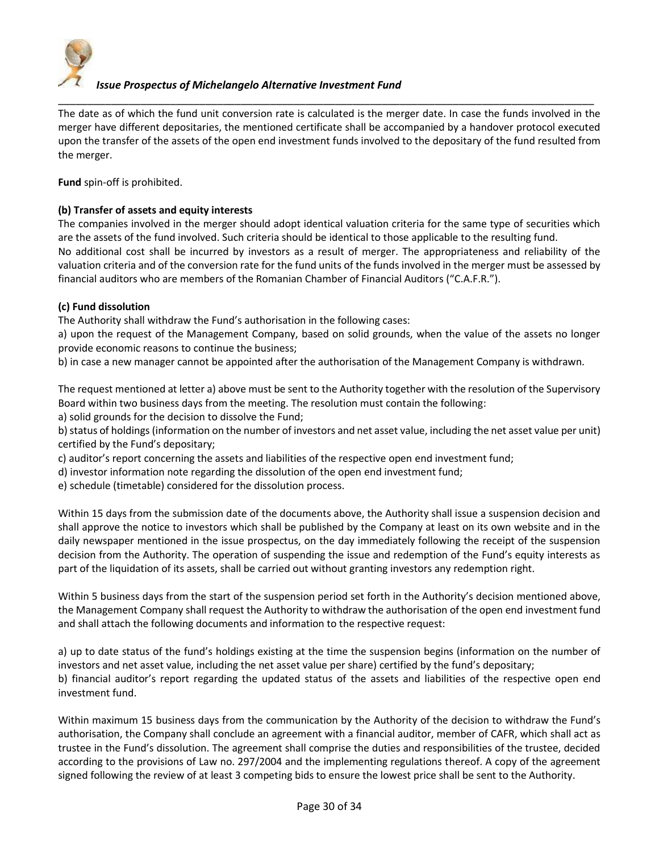

The date as of which the fund unit conversion rate is calculated is the merger date. In case the funds involved in the merger have different depositaries, the mentioned certificate shall be accompanied by a handover protocol executed upon the transfer of the assets of the open end investment funds involved to the depositary of the fund resulted from the merger.

\_\_\_\_\_\_\_\_\_\_\_\_\_\_\_\_\_\_\_\_\_\_\_\_\_\_\_\_\_\_\_\_\_\_\_\_\_\_\_\_\_\_\_\_\_\_\_\_\_\_\_\_\_\_\_\_\_\_\_\_\_\_\_\_\_\_\_\_\_\_\_\_\_\_\_\_\_\_\_\_\_\_\_\_\_\_\_\_\_\_\_

**Fund** spin-off is prohibited.

## **(b) Transfer of assets and equity interests**

The companies involved in the merger should adopt identical valuation criteria for the same type of securities which are the assets of the fund involved. Such criteria should be identical to those applicable to the resulting fund. No additional cost shall be incurred by investors as a result of merger. The appropriateness and reliability of the valuation criteria and of the conversion rate for the fund units of the funds involved in the merger must be assessed by financial auditors who are members of the Romanian Chamber of Financial Auditors ("C.A.F.R.").

#### **(c) Fund dissolution**

The Authority shall withdraw the Fund's authorisation in the following cases:

a) upon the request of the Management Company, based on solid grounds, when the value of the assets no longer provide economic reasons to continue the business;

b) in case a new manager cannot be appointed after the authorisation of the Management Company is withdrawn.

The request mentioned at letter a) above must be sent to the Authority together with the resolution of the Supervisory Board within two business days from the meeting. The resolution must contain the following:

a) solid grounds for the decision to dissolve the Fund;

b) status of holdings (information on the number of investors and net asset value, including the net asset value per unit) certified by the Fund's depositary;

c) auditor's report concerning the assets and liabilities of the respective open end investment fund;

d) investor information note regarding the dissolution of the open end investment fund;

e) schedule (timetable) considered for the dissolution process.

Within 15 days from the submission date of the documents above, the Authority shall issue a suspension decision and shall approve the notice to investors which shall be published by the Company at least on its own website and in the daily newspaper mentioned in the issue prospectus, on the day immediately following the receipt of the suspension decision from the Authority. The operation of suspending the issue and redemption of the Fund's equity interests as part of the liquidation of its assets, shall be carried out without granting investors any redemption right.

Within 5 business days from the start of the suspension period set forth in the Authority's decision mentioned above, the Management Company shall request the Authority to withdraw the authorisation of the open end investment fund and shall attach the following documents and information to the respective request:

a) up to date status of the fund's holdings existing at the time the suspension begins (information on the number of investors and net asset value, including the net asset value per share) certified by the fund's depositary; b) financial auditor's report regarding the updated status of the assets and liabilities of the respective open end investment fund.

Within maximum 15 business days from the communication by the Authority of the decision to withdraw the Fund's authorisation, the Company shall conclude an agreement with a financial auditor, member of CAFR, which shall act as trustee in the Fund's dissolution. The agreement shall comprise the duties and responsibilities of the trustee, decided according to the provisions of Law no. 297/2004 and the implementing regulations thereof. A copy of the agreement signed following the review of at least 3 competing bids to ensure the lowest price shall be sent to the Authority.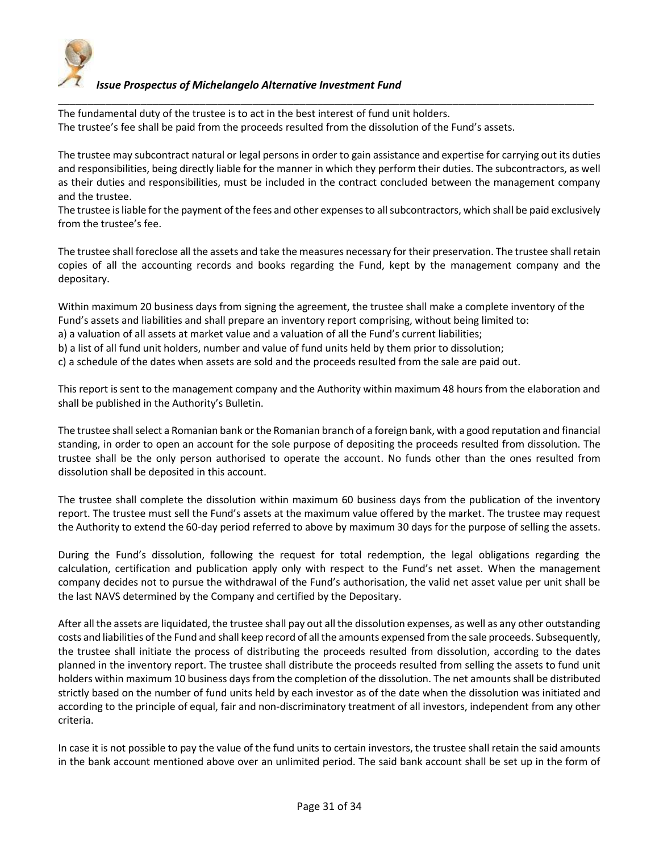

The fundamental duty of the trustee is to act in the best interest of fund unit holders. The trustee's fee shall be paid from the proceeds resulted from the dissolution of the Fund's assets.

The trustee may subcontract natural or legal persons in order to gain assistance and expertise for carrying out its duties and responsibilities, being directly liable for the manner in which they perform their duties. The subcontractors, as well as their duties and responsibilities, must be included in the contract concluded between the management company and the trustee.

\_\_\_\_\_\_\_\_\_\_\_\_\_\_\_\_\_\_\_\_\_\_\_\_\_\_\_\_\_\_\_\_\_\_\_\_\_\_\_\_\_\_\_\_\_\_\_\_\_\_\_\_\_\_\_\_\_\_\_\_\_\_\_\_\_\_\_\_\_\_\_\_\_\_\_\_\_\_\_\_\_\_\_\_\_\_\_\_\_\_\_

The trustee is liable for the payment of the fees and other expenses to all subcontractors, which shall be paid exclusively from the trustee's fee.

The trustee shall foreclose all the assets and take the measures necessary for their preservation. The trustee shall retain copies of all the accounting records and books regarding the Fund, kept by the management company and the depositary.

Within maximum 20 business days from signing the agreement, the trustee shall make a complete inventory of the Fund's assets and liabilities and shall prepare an inventory report comprising, without being limited to:

a) a valuation of all assets at market value and a valuation of all the Fund's current liabilities;

b) a list of all fund unit holders, number and value of fund units held by them prior to dissolution;

c) a schedule of the dates when assets are sold and the proceeds resulted from the sale are paid out.

This report is sent to the management company and the Authority within maximum 48 hours from the elaboration and shall be published in the Authority's Bulletin.

The trustee shall select a Romanian bank or the Romanian branch of a foreign bank, with a good reputation and financial standing, in order to open an account for the sole purpose of depositing the proceeds resulted from dissolution. The trustee shall be the only person authorised to operate the account. No funds other than the ones resulted from dissolution shall be deposited in this account.

The trustee shall complete the dissolution within maximum 60 business days from the publication of the inventory report. The trustee must sell the Fund's assets at the maximum value offered by the market. The trustee may request the Authority to extend the 60-day period referred to above by maximum 30 days for the purpose of selling the assets.

During the Fund's dissolution, following the request for total redemption, the legal obligations regarding the calculation, certification and publication apply only with respect to the Fund's net asset. When the management company decides not to pursue the withdrawal of the Fund's authorisation, the valid net asset value per unit shall be the last NAVS determined by the Company and certified by the Depositary.

After all the assets are liquidated, the trustee shall pay out all the dissolution expenses, as well as any other outstanding costs and liabilities of the Fund and shall keep record of all the amounts expensed from the sale proceeds. Subsequently, the trustee shall initiate the process of distributing the proceeds resulted from dissolution, according to the dates planned in the inventory report. The trustee shall distribute the proceeds resulted from selling the assets to fund unit holders within maximum 10 business days from the completion of the dissolution. The net amounts shall be distributed strictly based on the number of fund units held by each investor as of the date when the dissolution was initiated and according to the principle of equal, fair and non-discriminatory treatment of all investors, independent from any other criteria.

In case it is not possible to pay the value of the fund units to certain investors, the trustee shall retain the said amounts in the bank account mentioned above over an unlimited period. The said bank account shall be set up in the form of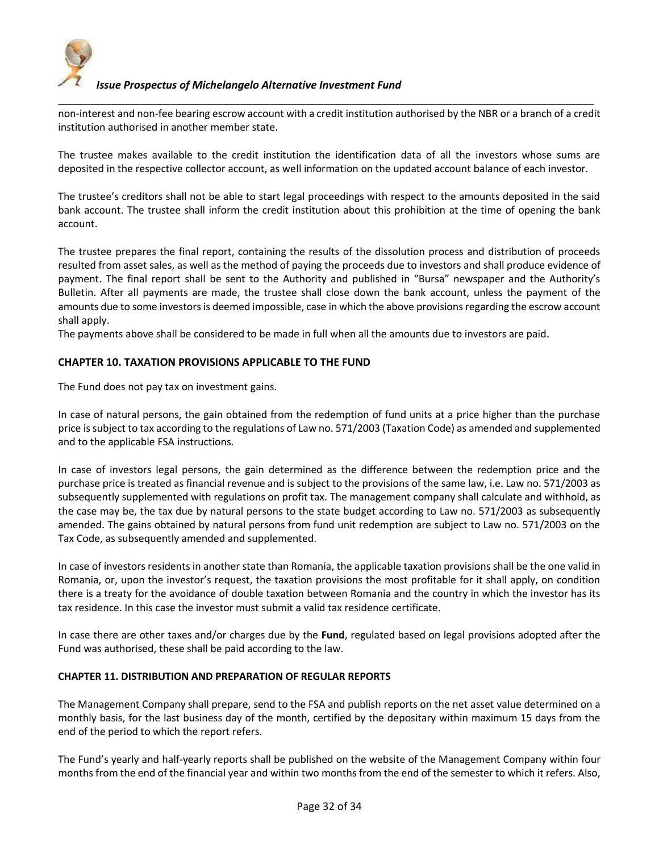

\_\_\_\_\_\_\_\_\_\_\_\_\_\_\_\_\_\_\_\_\_\_\_\_\_\_\_\_\_\_\_\_\_\_\_\_\_\_\_\_\_\_\_\_\_\_\_\_\_\_\_\_\_\_\_\_\_\_\_\_\_\_\_\_\_\_\_\_\_\_\_\_\_\_\_\_\_\_\_\_\_\_\_\_\_\_\_\_\_\_\_ non-interest and non-fee bearing escrow account with a credit institution authorised by the NBR or a branch of a credit institution authorised in another member state.

The trustee makes available to the credit institution the identification data of all the investors whose sums are deposited in the respective collector account, as well information on the updated account balance of each investor.

The trustee's creditors shall not be able to start legal proceedings with respect to the amounts deposited in the said bank account. The trustee shall inform the credit institution about this prohibition at the time of opening the bank account.

The trustee prepares the final report, containing the results of the dissolution process and distribution of proceeds resulted from asset sales, as well as the method of paying the proceeds due to investors and shall produce evidence of payment. The final report shall be sent to the Authority and published in "Bursa" newspaper and the Authority's Bulletin. After all payments are made, the trustee shall close down the bank account, unless the payment of the amounts due to some investors is deemed impossible, case in which the above provisions regarding the escrow account shall apply.

The payments above shall be considered to be made in full when all the amounts due to investors are paid.

#### **CHAPTER 10. TAXATION PROVISIONS APPLICABLE TO THE FUND**

The Fund does not pay tax on investment gains.

In case of natural persons, the gain obtained from the redemption of fund units at a price higher than the purchase price is subject to tax according to the regulations of Law no. 571/2003 (Taxation Code) as amended and supplemented and to the applicable FSA instructions.

In case of investors legal persons, the gain determined as the difference between the redemption price and the purchase price is treated as financial revenue and is subject to the provisions of the same law, i.e. Law no. 571/2003 as subsequently supplemented with regulations on profit tax. The management company shall calculate and withhold, as the case may be, the tax due by natural persons to the state budget according to Law no. 571/2003 as subsequently amended. The gains obtained by natural persons from fund unit redemption are subject to Law no. 571/2003 on the Tax Code, as subsequently amended and supplemented.

In case of investors residents in another state than Romania, the applicable taxation provisions shall be the one valid in Romania, or, upon the investor's request, the taxation provisions the most profitable for it shall apply, on condition there is a treaty for the avoidance of double taxation between Romania and the country in which the investor has its tax residence. In this case the investor must submit a valid tax residence certificate.

In case there are other taxes and/or charges due by the **Fund**, regulated based on legal provisions adopted after the Fund was authorised, these shall be paid according to the law.

#### **CHAPTER 11. DISTRIBUTION AND PREPARATION OF REGULAR REPORTS**

The Management Company shall prepare, send to the FSA and publish reports on the net asset value determined on a monthly basis, for the last business day of the month, certified by the depositary within maximum 15 days from the end of the period to which the report refers.

The Fund's yearly and half-yearly reports shall be published on the website of the Management Company within four months from the end of the financial year and within two months from the end of the semester to which it refers. Also,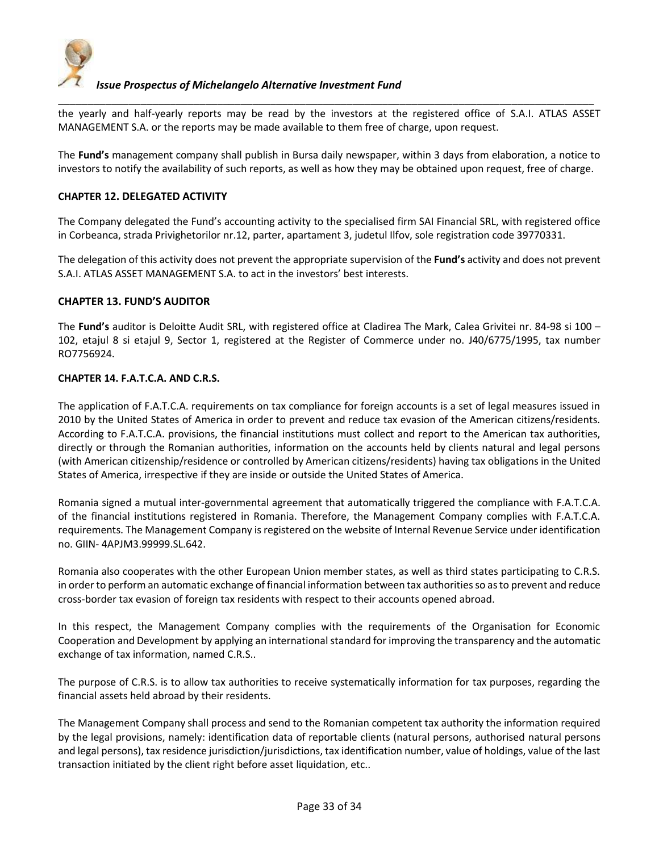

the yearly and half-yearly reports may be read by the investors at the registered office of S.A.I. ATLAS ASSET MANAGEMENT S.A. or the reports may be made available to them free of charge, upon request.

\_\_\_\_\_\_\_\_\_\_\_\_\_\_\_\_\_\_\_\_\_\_\_\_\_\_\_\_\_\_\_\_\_\_\_\_\_\_\_\_\_\_\_\_\_\_\_\_\_\_\_\_\_\_\_\_\_\_\_\_\_\_\_\_\_\_\_\_\_\_\_\_\_\_\_\_\_\_\_\_\_\_\_\_\_\_\_\_\_\_\_

The **Fund's** management company shall publish in Bursa daily newspaper, within 3 days from elaboration, a notice to investors to notify the availability of such reports, as well as how they may be obtained upon request, free of charge.

#### **CHAPTER 12. DELEGATED ACTIVITY**

The Company delegated the Fund's accounting activity to the specialised firm SAI Financial SRL, with registered office in Corbeanca, strada Privighetorilor nr.12, parter, apartament 3, judetul Ilfov, sole registration code 39770331.

The delegation of this activity does not prevent the appropriate supervision of the **Fund's** activity and does not prevent S.A.I. ATLAS ASSET MANAGEMENT S.A. to act in the investors' best interests.

#### **CHAPTER 13. FUND'S AUDITOR**

The **Fund's** auditor is Deloitte Audit SRL, with registered office at Cladirea The Mark, Calea Grivitei nr. 84-98 si 100 – 102, etajul 8 si etajul 9, Sector 1, registered at the Register of Commerce under no. J40/6775/1995, tax number RO7756924.

#### **CHAPTER 14. F.A.T.C.A. AND C.R.S.**

The application of F.A.T.C.A. requirements on tax compliance for foreign accounts is a set of legal measures issued in 2010 by the United States of America in order to prevent and reduce tax evasion of the American citizens/residents. According to F.A.T.C.A. provisions, the financial institutions must collect and report to the American tax authorities, directly or through the Romanian authorities, information on the accounts held by clients natural and legal persons (with American citizenship/residence or controlled by American citizens/residents) having tax obligations in the United States of America, irrespective if they are inside or outside the United States of America.

Romania signed a mutual inter-governmental agreement that automatically triggered the compliance with F.A.T.C.A. of the financial institutions registered in Romania. Therefore, the Management Company complies with F.A.T.C.A. requirements. The Management Company is registered on the website of Internal Revenue Service under identification no. GIIN- 4APJM3.99999.SL.642.

Romania also cooperates with the other European Union member states, as well as third states participating to C.R.S. in order to perform an automatic exchange of financial information between tax authorities so as to prevent and reduce cross-border tax evasion of foreign tax residents with respect to their accounts opened abroad.

In this respect, the Management Company complies with the requirements of the Organisation for Economic Cooperation and Development by applying an international standard for improving the transparency and the automatic exchange of tax information, named C.R.S..

The purpose of C.R.S. is to allow tax authorities to receive systematically information for tax purposes, regarding the financial assets held abroad by their residents.

The Management Company shall process and send to the Romanian competent tax authority the information required by the legal provisions, namely: identification data of reportable clients (natural persons, authorised natural persons and legal persons), tax residence jurisdiction/jurisdictions, tax identification number, value of holdings, value of the last transaction initiated by the client right before asset liquidation, etc..